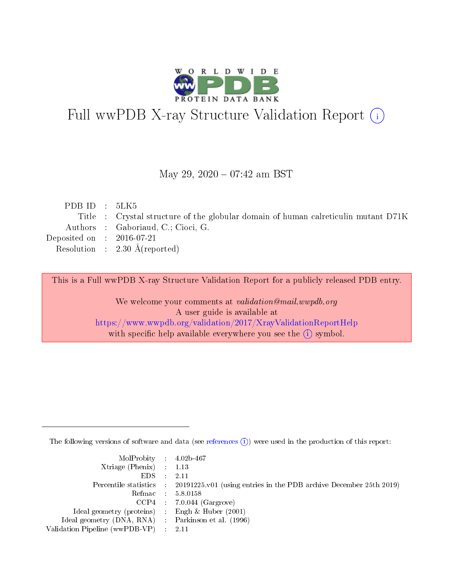

## Full wwPDB X-ray Structure Validation Report (i)

#### May 29, 2020 - 07:42 am BST

| PDBID : 5LK5                |                                                                                    |
|-----------------------------|------------------------------------------------------------------------------------|
|                             | Title : Crystal structure of the globular domain of human calreticulin mutant D71K |
|                             | Authors : Gaboriaud, C.; Cioci, G.                                                 |
| Deposited on : $2016-07-21$ |                                                                                    |
|                             | Resolution : $2.30 \text{ Å}$ (reported)                                           |
|                             |                                                                                    |

This is a Full wwPDB X-ray Structure Validation Report for a publicly released PDB entry.

We welcome your comments at validation@mail.wwpdb.org A user guide is available at <https://www.wwpdb.org/validation/2017/XrayValidationReportHelp> with specific help available everywhere you see the  $(i)$  symbol.

The following versions of software and data (see [references](https://www.wwpdb.org/validation/2017/XrayValidationReportHelp#references)  $(i)$ ) were used in the production of this report:

| $MolProbability$ 4.02b-467                          |                                                                                            |
|-----------------------------------------------------|--------------------------------------------------------------------------------------------|
| Xtriage (Phenix) $: 1.13$                           |                                                                                            |
| $EDS$ :                                             | -2.11                                                                                      |
|                                                     | Percentile statistics : 20191225.v01 (using entries in the PDB archive December 25th 2019) |
|                                                     | Refmac : 5.8.0158                                                                          |
|                                                     | $CCP4$ : 7.0.044 (Gargrove)                                                                |
| Ideal geometry (proteins) : Engh $\&$ Huber (2001)  |                                                                                            |
| Ideal geometry (DNA, RNA) : Parkinson et al. (1996) |                                                                                            |
| Validation Pipeline (wwPDB-VP)                      | -2.11                                                                                      |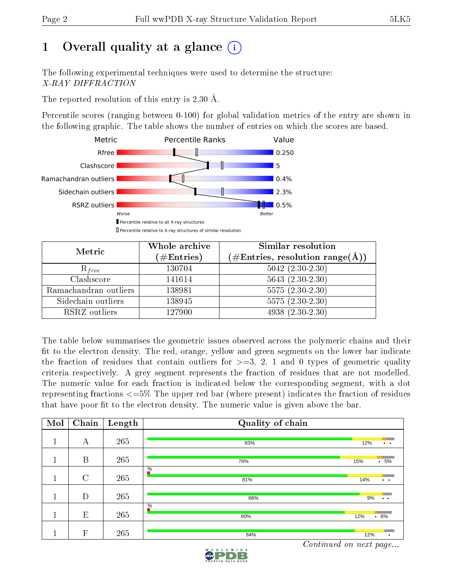## 1 [O](https://www.wwpdb.org/validation/2017/XrayValidationReportHelp#overall_quality)verall quality at a glance  $(i)$

The following experimental techniques were used to determine the structure: X-RAY DIFFRACTION

The reported resolution of this entry is 2.30 Å.

Percentile scores (ranging between 0-100) for global validation metrics of the entry are shown in the following graphic. The table shows the number of entries on which the scores are based.



| Metric                | Whole archive<br>$(\#\text{Entries})$ | Similar resolution<br>$(\#\text{Entries}, \text{resolution range}(\text{\AA}))$ |
|-----------------------|---------------------------------------|---------------------------------------------------------------------------------|
| $R_{free}$            | 130704                                | $5042$ $(2.30-2.30)$                                                            |
| Clashscore            | 141614                                | $5643(2.30-2.30)$                                                               |
| Ramachandran outliers | 138981                                | $5575(2.30-2.30)$                                                               |
| Sidechain outliers    | 138945                                | $5575(2.30-2.30)$                                                               |
| RSRZ outliers         | 127900                                | $4938 (2.30 - 2.30)$                                                            |

The table below summarises the geometric issues observed across the polymeric chains and their fit to the electron density. The red, orange, yellow and green segments on the lower bar indicate the fraction of residues that contain outliers for  $>=3, 2, 1$  and 0 types of geometric quality criteria respectively. A grey segment represents the fraction of residues that are not modelled. The numeric value for each fraction is indicated below the corresponding segment, with a dot representing fractions  $\epsilon=5\%$  The upper red bar (where present) indicates the fraction of residues that have poor fit to the electron density. The numeric value is given above the bar.

| Mol | Chain         | Length | Quality of chain     |                              |
|-----|---------------|--------|----------------------|------------------------------|
|     | А             | 265    | 83%                  | 12%<br>$\ddot{\phantom{1}}$  |
|     | $\mathbf B$   | 265    | 78%                  | $\cdot$ 5%<br>15%            |
|     | $\mathcal{C}$ | 265    | $\frac{0}{6}$<br>81% | 14%<br>$\bullet$ . $\bullet$ |
|     | D             | 265    | 86%                  | 9%<br>$\bullet$ . $\bullet$  |
|     | E             | 265    | $\frac{0}{6}$<br>80% | 12%<br>$.6\%$                |
|     | $\mathbf F$   | 265    | 84%                  | 12%<br>٠                     |

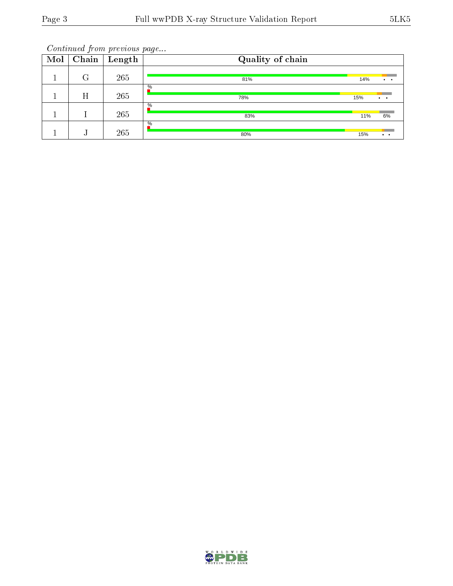| Mol | Chain | $\sqrt{\text{L}}$ ength | Quality of chain     |     |                 |
|-----|-------|-------------------------|----------------------|-----|-----------------|
|     | ុ     | 265                     | 81%                  | 14% |                 |
|     | Η     | 265                     | $\frac{0}{0}$<br>78% | 15% | $\cdot$ $\cdot$ |
|     |       | 265                     | $\%$<br>83%          | 11% | 6%              |
|     |       | 265                     | $\%$<br>80%          | 15% | $\cdot$ $\cdot$ |

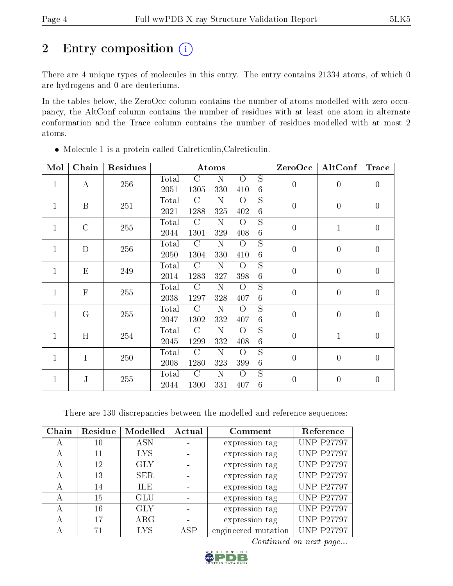## 2 Entry composition (i)

There are 4 unique types of molecules in this entry. The entry contains 21334 atoms, of which 0 are hydrogens and 0 are deuteriums.

In the tables below, the ZeroOcc column contains the number of atoms modelled with zero occupancy, the AltConf column contains the number of residues with at least one atom in alternate conformation and the Trace column contains the number of residues modelled with at most 2 atoms.

| Mol          | Chain         | Residues |       | Atoms         |             |                |                 |                  | AltConf          | Trace            |
|--------------|---------------|----------|-------|---------------|-------------|----------------|-----------------|------------------|------------------|------------------|
| $\mathbf{1}$ | $\bf{A}$      | 256      | Total | $\mathcal{C}$ | N           | $\overline{O}$ | S               | $\overline{0}$   | $\overline{0}$   | $\boldsymbol{0}$ |
|              |               |          | 2051  | 1305          | 330         | 410            | $6\phantom{.}6$ |                  |                  |                  |
| $\mathbf{1}$ | B             | 251      | Total | $\mathcal{C}$ | ${\bf N}$   | $\overline{O}$ | S               | $\overline{0}$   | $\overline{0}$   | $\overline{0}$   |
|              |               |          | 2021  | 1288          | 325         | 402            | $6\phantom{.}6$ |                  |                  |                  |
| $\mathbf{1}$ | $\mathcal{C}$ | 255      | Total | $\mathcal{C}$ | ${\bf N}$   | $\overline{O}$ | S               | $\overline{0}$   | $\mathbf 1$      | $\boldsymbol{0}$ |
|              |               |          | 2044  | 1301          | 329         | 408            | $\,6\,$         |                  |                  |                  |
| $\mathbf{1}$ | D             | 256      | Total | $\mathcal{C}$ | ${\bf N}$   | $\overline{O}$ | S               | $\boldsymbol{0}$ | $\boldsymbol{0}$ | $\boldsymbol{0}$ |
|              |               |          | 2050  | 1304          | 330         | 410            | $\,6$           |                  |                  |                  |
| $\mathbf{1}$ | E             | 249      | Total | $\mathcal{C}$ | ${\bf N}$   | $\overline{O}$ | S               | $\boldsymbol{0}$ | $\boldsymbol{0}$ | $\boldsymbol{0}$ |
|              |               |          | 2014  | 1283          | 327         | 398            | $\,6\,$         |                  |                  |                  |
| $\mathbf{1}$ | $\mathbf{F}$  | 255      | Total | $\mathcal{C}$ | $\mathbf N$ | $\overline{O}$ | S               | $\boldsymbol{0}$ | $\overline{0}$   | $\overline{0}$   |
|              |               |          | 2038  | 1297          | 328         | 407            | $\,6$           |                  |                  |                  |
| $\mathbf{1}$ | G             | 255      | Total | $\mathcal{C}$ | $\mathbf N$ | $\overline{O}$ | $\overline{S}$  | $\boldsymbol{0}$ | $\overline{0}$   | $\boldsymbol{0}$ |
|              |               |          | 2047  | 1302          | 332         | 407            | $\,6$           |                  |                  |                  |
| $\mathbf{1}$ | H             | 254      | Total | $\mathcal{C}$ | $\mathbf N$ | $\overline{O}$ | $\overline{S}$  | $\overline{0}$   | $\mathbf{1}$     | $\overline{0}$   |
|              |               |          | 2045  | 1299          | 332         | 408            | $\,6\,$         |                  |                  |                  |
| $\mathbf{1}$ | I             | 250      | Total | $\mathcal{C}$ | ${\bf N}$   | $\overline{O}$ | S               | $\boldsymbol{0}$ | $\overline{0}$   | $\boldsymbol{0}$ |
|              |               |          | 2008  | 1280          | 323         | 399            | $\,6\,$         |                  |                  |                  |
| $\mathbf{1}$ | J             | 255      | Total | $\mathcal{C}$ | $\mathbf N$ | $\overline{O}$ | S               | $\overline{0}$   | $\overline{0}$   | $\overline{0}$   |
|              |               |          | 2044  | 1300          | 331         | 407            | $6\phantom{.}6$ |                  |                  |                  |

Molecule 1 is a protein called Calreticulin,Calreticulin.

There are 130 discrepancies between the modelled and reference sequences:

| Chain | Residue | Modelled   | Actual | Comment             | Reference         |
|-------|---------|------------|--------|---------------------|-------------------|
| А     | 10      | <b>ASN</b> |        | expression tag      | <b>UNP P27797</b> |
| А     | 11      | <b>LYS</b> |        | expression tag      | <b>UNP P27797</b> |
| А     | 12      | <b>GLY</b> |        | expression tag      | <b>UNP P27797</b> |
| А     | 13      | SER        |        | expression tag      | <b>UNP P27797</b> |
|       | 14      | ILE        |        | expression tag      | <b>UNP P27797</b> |
| А     | 15      | GLU        |        | expression tag      | <b>UNP P27797</b> |
| А     | 16      | <b>GLY</b> |        | expression tag      | <b>UNP P27797</b> |
| А     | 17      | $\rm{ARG}$ |        | expression tag      | <b>UNP P27797</b> |
| А     | 71      | LYS        | ASP    | engineered mutation | <b>UNP P27797</b> |

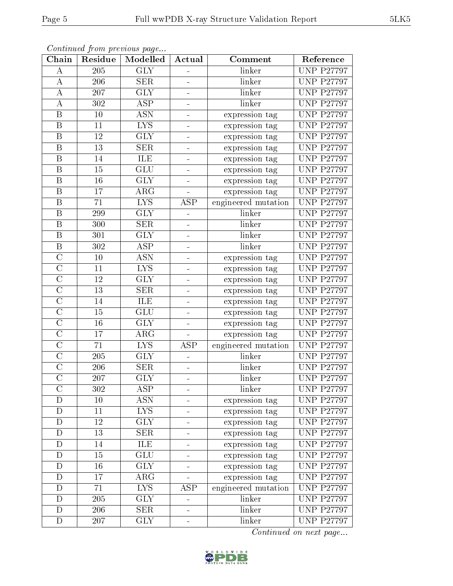| Chain                   | Residue         | Modelled                  | Actual                       | Comment             | Reference         |
|-------------------------|-----------------|---------------------------|------------------------------|---------------------|-------------------|
| А                       | 205             | <b>GLY</b>                | $\overline{\phantom{a}}$     | linker              | <b>UNP P27797</b> |
| $\bf{A}$                | 206             | <b>SER</b>                | $\frac{1}{2}$                | linker              | <b>UNP P27797</b> |
| А                       | 207             | <b>GLY</b>                | -                            | linker              | <b>UNP P27797</b> |
| А                       | 302             | <b>ASP</b>                | $\blacksquare$               | linker              | <b>UNP P27797</b> |
| $\, {\bf B}$            | 10              | ASN                       | ÷                            | expression tag      | <b>UNP P27797</b> |
| $\boldsymbol{B}$        | 11              | <b>LYS</b>                | ÷,                           | expression tag      | <b>UNP P27797</b> |
| $\boldsymbol{B}$        | 12              | <b>GLY</b>                | $\blacksquare$               | expression tag      | <b>UNP P27797</b> |
| $\boldsymbol{B}$        | 13              | <b>SER</b>                | $\blacksquare$               | expression tag      | <b>UNP P27797</b> |
| $\boldsymbol{B}$        | 14              | ILE                       | $\blacksquare$               | expression tag      | <b>UNP P27797</b> |
| $\boldsymbol{B}$        | 15              | $\overline{\mathrm{GLU}}$ | $\blacksquare$               | expression tag      | <b>UNP P27797</b> |
| $\boldsymbol{B}$        | 16              | <b>GLY</b>                | $\overline{a}$               | expression tag      | <b>UNP P27797</b> |
| $\, {\bf B}$            | 17              | $\rm{ARG}$                |                              | expression tag      | <b>UNP P27797</b> |
| $\mathbf B$             | 71              | <b>LYS</b>                | ASP                          | engineered mutation | <b>UNP P27797</b> |
| $\, {\bf B}$            | 299             | <b>GLY</b>                | -                            | linker              | <b>UNP P27797</b> |
| $\overline{\mathrm{B}}$ | 300             | <b>SER</b>                | ÷                            | linker              | <b>UNP P27797</b> |
| $\, {\bf B}$            | 301             | <b>GLY</b>                | $\overline{\phantom{0}}$     | linker              | <b>UNP P27797</b> |
| $\overline{\mathrm{B}}$ | 302             | $\overline{\text{ASP}}$   | ÷                            | linker              | <b>UNP P27797</b> |
| $\mathcal{C}$           | 10              | <b>ASN</b>                | $\frac{1}{\sqrt{2}}$         | expression tag      | <b>UNP P27797</b> |
| $\overline{C}$          | 11              | <b>LYS</b>                | $\blacksquare$               | expression tag      | <b>UNP P27797</b> |
| $\overline{C}$          | 12              | <b>GLY</b>                | $\overline{\phantom{0}}$     | expression tag      | <b>UNP P27797</b> |
| $\overline{C}$          | 13              | <b>SER</b>                | $\blacksquare$               | expression tag      | <b>UNP P27797</b> |
| $\overline{\rm C}$      | 14              | <b>ILE</b>                | -                            | expression tag      | <b>UNP P27797</b> |
| $\overline{C}$          | 15              | GLU                       | $\blacksquare$               | expression tag      | <b>UNP P27797</b> |
| $\overline{\rm C}$      | 16              | <b>GLY</b>                | ÷                            | expression tag      | <b>UNP P27797</b> |
| $\overline{C}$          | 17              | $\rm{ARG}$                | $\equiv$                     | expression tag      | <b>UNP P27797</b> |
| $\overline{C}$          | 71              | <b>LYS</b>                | ASP                          | engineered mutation | <b>UNP P27797</b> |
| $\overline{\rm C}$      | 205             | <b>GLY</b>                | ÷                            | linker              | <b>UNP P27797</b> |
| $\mathcal{C}$           | 206             | <b>SER</b>                | $\overline{\phantom{a}}$     | linker              | <b>UNP P27797</b> |
| $\overline{\rm C}$      | 207             | $\overline{\text{GLY}}$   | $\frac{1}{\sqrt{2}}$         | linker              | <b>UNP P27797</b> |
| $\overline{C}$          | 302             | ASP                       |                              | linker              | <b>UNP P27797</b> |
| D                       | 10              | <b>ASN</b>                |                              | expression tag      | <b>UNP P27797</b> |
| D                       | 11              | $\overline{\text{LYS}}$   |                              | expression tag      | <b>UNP P27797</b> |
| D                       | 12              | <b>GLY</b>                |                              | expression tag      | <b>UNP P27797</b> |
| $\overline{\rm D}$      | $\overline{13}$ | $\overline{\text{SER}}$   |                              | expression tag      | <b>UNP P27797</b> |
| D                       | 14              | ILE                       |                              | expression tag      | <b>UNP P27797</b> |
| $\mathbf D$             | 15              | $\overline{\text{GLU}}$   | $\overline{\phantom{a}}$     | expression tag      | <b>UNP P27797</b> |
| D                       | 16              | <b>GLY</b>                | $\qquad \qquad \blacksquare$ | expression tag      | <b>UNP P27797</b> |
| $\mathbf D$             | 17              | $\rm{ARG}$                |                              | expression tag      | <b>UNP P27797</b> |
| D                       | 71              | <b>LYS</b>                | ASP                          | engineered mutation | <b>UNP P27797</b> |
| $\mathbf D$             | 205             | <b>GLY</b>                |                              | linker              | <b>UNP P27797</b> |
| D                       | 206             | <b>SER</b>                | -                            | linker              | <b>UNP P27797</b> |
| D                       | 207             | <b>GLY</b>                | $\overline{a}$               | linker              | <b>UNP P27797</b> |

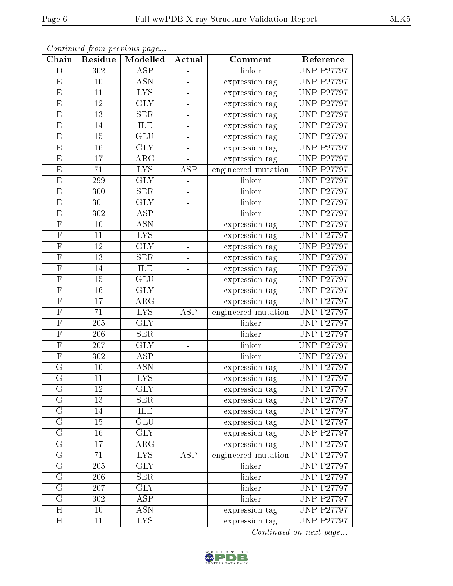| Chain                   | Residue         | Modelled                | Actual                   | Comment             | Reference                      |
|-------------------------|-----------------|-------------------------|--------------------------|---------------------|--------------------------------|
| D                       | 302             | <b>ASP</b>              |                          | linker              | <b>UNP P27797</b>              |
| E                       | 10              | <b>ASN</b>              | ÷,                       | expression tag      | <b>UNP P27797</b>              |
| $\mathbf{E}% _{0}$      | 11              | $\overline{\text{LYS}}$ | $\blacksquare$           | expression tag      | <b>UNP P27797</b>              |
| E                       | 12              | <b>GLY</b>              | $\overline{a}$           | expression tag      | <b>UNP P27797</b>              |
| E                       | 13              | <b>SER</b>              |                          | expression tag      | <b>UNP P27797</b>              |
| E                       | 14              | ILE                     |                          | expression tag      | <b>UNP P27797</b>              |
| ${\rm E}$               | 15              | GLU                     | $\blacksquare$           | expression tag      | $\overline{\text{UNP}}$ P27797 |
| $\overline{\mathrm{E}}$ | 16              | GLY                     |                          | expression tag      | <b>UNP P27797</b>              |
| ${\rm E}$               | 17              | $\rm{ARG}$              |                          | expression tag      | <b>UNP P27797</b>              |
| ${\rm E}$               | 71              | $\overline{\text{LYS}}$ | <b>ASP</b>               | engineered mutation | <b>UNP P27797</b>              |
| E                       | 299             | <b>GLY</b>              | $\blacksquare$           | linker              | <b>UNP P27797</b>              |
| $\overline{\mathrm{E}}$ | 300             | $\overline{\text{SER}}$ | $\overline{\phantom{0}}$ | linker              | <b>UNP P27797</b>              |
| $\mathbf{E}% _{0}$      | 301             | <b>GLY</b>              | ÷,                       | linker              | <b>UNP P27797</b>              |
| ${\bf E}$               | 302             | <b>ASP</b>              | ÷,                       | linker              | <b>UNP P27797</b>              |
| $\overline{\mathrm{F}}$ | 10              | <b>ASN</b>              | $\overline{\phantom{0}}$ | expression tag      | <b>UNP P27797</b>              |
| $\mathbf F$             | 11              | <b>LYS</b>              | ÷,                       | expression tag      | <b>UNP P27797</b>              |
| $\overline{\mathrm{F}}$ | 12              | <b>GLY</b>              | ÷                        | expression tag      | <b>UNP P27797</b>              |
| $\mathbf F$             | 13              | <b>SER</b>              | $\blacksquare$           | expression tag      | <b>UNP P27797</b>              |
| $\mathbf F$             | 14              | ILE                     | ÷                        | expression tag      | <b>UNP P27797</b>              |
| $\overline{F}$          | 15              | GLU                     | $\blacksquare$           | expression tag      | <b>UNP P27797</b>              |
| $\mathbf F$             | 16              | <b>GLY</b>              | ÷,                       | expression tag      | <b>UNP P27797</b>              |
| $\overline{\mathrm{F}}$ | 17              | $\rm{ARG}$              | $\equiv$                 | expression tag      | <b>UNP P27797</b>              |
| $\mathbf F$             | 71              | <b>LYS</b>              | ASP                      | engineered mutation | <b>UNP P27797</b>              |
| $\overline{\mathrm{F}}$ | 205             | <b>GLY</b>              | -                        | linker              | <b>UNP P27797</b>              |
| $\overline{F}$          | 206             | <b>SER</b>              | L.                       | linker              | <b>UNP P27797</b>              |
| $\mathbf F$             | 207             | <b>GLY</b>              | Ξ,                       | linker              | <b>UNP P27797</b>              |
| $\overline{\mathrm{F}}$ | 302             | $\overline{\text{ASP}}$ | $\blacksquare$           | linker              | <b>UNP P27797</b>              |
| G                       | 10              | <b>ASN</b>              | $\overline{a}$           | expression tag      | <b>UNP P27797</b>              |
| $\overline{G}$          | 11              | $\overline{\text{LYS}}$ | ÷                        | expression tag      | <b>UNP P27797</b>              |
| $\overline{G}$          | $\overline{12}$ | $\overline{\text{GLY}}$ | $\blacksquare$           | expression tag      | <b>UNP P27797</b>              |
| G                       | 13              | <b>SER</b>              |                          | expression tag      | <b>UNP P27797</b>              |
| $\mathbf G$             | 14              | ILE                     | -                        | expression tag      | <b>UNP P27797</b>              |
| G                       | 15              | <b>GLU</b>              | ä,                       | expression tag      | <b>UNP P27797</b>              |
| $\mathbf G$             | 16              | <b>GLY</b>              | -                        | expression tag      | <b>UNP P27797</b>              |
| G                       | 17              | $\rm{ARG}$              |                          | expression tag      | <b>UNP P27797</b>              |
| G                       | 71              | LYS.                    | <b>ASP</b>               | engineered mutation | <b>UNP P27797</b>              |
| $\rm G$                 | 205             | <b>GLY</b>              | -                        | linker              | <b>UNP P27797</b>              |
| G                       | 206             | <b>SER</b>              | 4                        | linker              | <b>UNP P27797</b>              |
| G                       | 207             | $\overline{\text{GLY}}$ | ÷                        | linker              | <b>UNP P27797</b>              |
| G                       | 302             | ASP                     | -                        | linker              | <b>UNP P27797</b>              |
| H                       | 10              | <b>ASN</b>              | -                        | expression tag      | <b>UNP P27797</b>              |
| H                       | 11              | <b>LYS</b>              | 4                        | expression tag      | <b>UNP P27797</b>              |

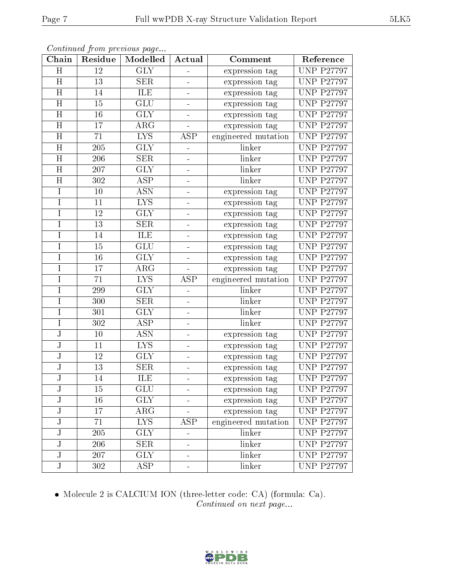| Chain                   | Residue         | Modelled                  | Actual                   | Comment             | Reference         |
|-------------------------|-----------------|---------------------------|--------------------------|---------------------|-------------------|
| H                       | 12              | $\overline{\text{GLY}}$   |                          | expression tag      | <b>UNP P27797</b> |
| H                       | 13              | <b>SER</b>                | $\blacksquare$           | expression tag      | <b>UNP P27797</b> |
| $\overline{\rm H}$      | 14              | <b>ILE</b>                |                          | expression tag      | <b>UNP P27797</b> |
| H                       | 15              | GLU                       | $\overline{\phantom{0}}$ | expression tag      | <b>UNP P27797</b> |
| $\overline{\rm H}$      | $\overline{16}$ | $\overline{\text{GLY}}$   | ÷,                       | expression tag      | <b>UNP P27797</b> |
| H                       | 17              | $\rm{ARG}$                | ÷,                       | expression tag      | <b>UNP P27797</b> |
| $\overline{\rm H}$      | 71              | $\overline{\text{LYS}}$   | <b>ASP</b>               | engineered mutation | <b>UNP P27797</b> |
| H                       | 205             | <b>GLY</b>                | $\blacksquare$           | linker              | <b>UNP P27797</b> |
| H                       | 206             | <b>SER</b>                | $\equiv$                 | linker              | <b>UNP P27797</b> |
| H                       | 207             | $\overline{\text{GLY}}$   | -                        | linker              | <b>UNP P27797</b> |
| H                       | 302             | <b>ASP</b>                | ÷,                       | linker              | <b>UNP P27797</b> |
| $\overline{I}$          | 10              | $\overline{\mathrm{ASN}}$ | -                        | expression tag      | <b>UNP P27797</b> |
| $\mathbf I$             | 11              | <b>LYS</b>                | ÷                        | expression tag      | <b>UNP P27797</b> |
| $\rm I$                 | 12              | <b>GLY</b>                | ÷                        | expression tag      | <b>UNP P27797</b> |
| $\mathbf I$             | 13              | <b>SER</b>                | $\blacksquare$           | expression tag      | <b>UNP P27797</b> |
| $\mathbf I$             | 14              | ILE                       | $\blacksquare$           | expression tag      | <b>UNP P27797</b> |
| $\mathbf I$             | 15              | $\overline{\mathrm{GLU}}$ | ÷                        | expression tag      | <b>UNP P27797</b> |
| $\mathbf I$             | 16              | <b>GLY</b>                | $\frac{1}{2}$            | expression tag      | <b>UNP P27797</b> |
| $\mathbf I$             | 17              | $\rm{ARG}$                | $\blacksquare$           | expression tag      | <b>UNP P27797</b> |
| $\mathbf I$             | 71              | $\overline{\text{LYS}}$   | <b>ASP</b>               | engineered mutation | <b>UNP P27797</b> |
| I                       | 299             | <b>GLY</b>                |                          | linker              | <b>UNP P27797</b> |
| Ī                       | 300             | $\overline{\text{SER}}$   | $\frac{1}{2}$            | linker              | <b>UNP P27797</b> |
| $\mathbf I$             | 301             | <b>GLY</b>                | $\overline{a}$           | linker              | <b>UNP P27797</b> |
| I                       | 302             | $\overline{\text{ASP}}$   | ÷,                       | linker              | <b>UNP P27797</b> |
| J                       | 10              | <b>ASN</b>                | ÷                        | expression tag      | <b>UNP P27797</b> |
| $\bf J$                 | 11              | $\overline{\text{LYS}}$   | $\equiv$                 | expression tag      | <b>UNP P27797</b> |
| $\overline{\text{J}}$   | 12              | <b>GLY</b>                | $\equiv$                 | expression tag      | <b>UNP P27797</b> |
| ${\bf J}$               | 13              | <b>SER</b>                | $\equiv$                 | expression tag      | <b>UNP P27797</b> |
| $\overline{\rm J}$      | 14              | ILE                       | 4                        | expression tag      | <b>UNP P27797</b> |
| J                       | 15              | GLU                       |                          | expression tag      | <b>UNP P27797</b> |
| J                       | 16              | <b>GLY</b>                |                          | expression tag      | <b>UNP P27797</b> |
| J                       | 17              | $\rm{ARG}$                |                          | expression tag      | <b>UNP P27797</b> |
| $_{\rm J}$              | 71              | LYS.                      | ASP                      | engineered mutation | <b>UNP P27797</b> |
| J                       | 205             | <b>GLY</b>                | ÷.                       | linker              | <b>UNP P27797</b> |
| ${\bf J}$               | 206             | <b>SER</b>                | ÷                        | linker              | <b>UNP P27797</b> |
| ${\bf J}$               | 207             | $\overline{\text{GLY}}$   | ÷                        | linker              | <b>UNP P27797</b> |
| $\overline{\mathsf{J}}$ | 302             | <b>ASP</b>                |                          | linker              | <b>UNP P27797</b> |

 Molecule 2 is CALCIUM ION (three-letter code: CA) (formula: Ca). Continued on next page...

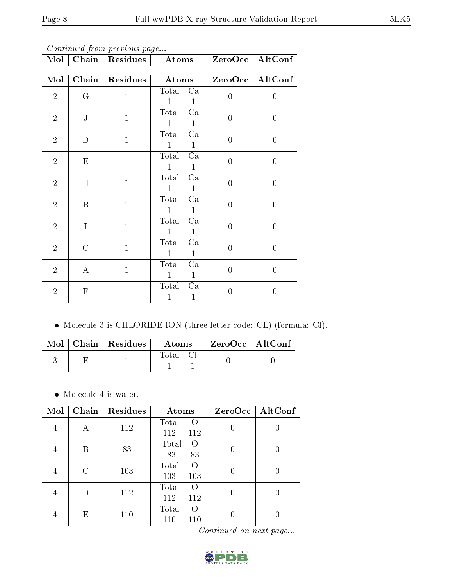| Continued from previous page |                           |              |                                  |                  |                  |  |  |  |  |
|------------------------------|---------------------------|--------------|----------------------------------|------------------|------------------|--|--|--|--|
| Mol                          | Chain                     | Residues     | Atoms                            | ZeroOcc          | AltConf          |  |  |  |  |
|                              |                           |              |                                  |                  |                  |  |  |  |  |
| Mol                          | Chain                     | Residues     | Atoms                            | ZeroOcc          | AltConf          |  |  |  |  |
| $\overline{2}$               | G                         | $\mathbf{1}$ | Total Ca<br>1<br>1               | $\overline{0}$   | $\overline{0}$   |  |  |  |  |
| $\overline{2}$               | ${\bf J}$                 | $\mathbf{1}$ | Ca<br>Total<br>1<br>1            | $\overline{0}$   | $\overline{0}$   |  |  |  |  |
| $\overline{2}$               | D                         | $\mathbf{1}$ | Total<br>Ca<br>1<br>1            | $\boldsymbol{0}$ | $\overline{0}$   |  |  |  |  |
| $\overline{2}$               | ${\rm E}$                 | $\mathbf{1}$ | Ca<br>Total<br>1<br>$\mathbf{1}$ | $\overline{0}$   | $\overline{0}$   |  |  |  |  |
| $\overline{2}$               | H                         | $\mathbf{1}$ | Total<br>Ca<br>1<br>1            | $\overline{0}$   | $\overline{0}$   |  |  |  |  |
| $\overline{2}$               | B                         | $\mathbf{1}$ | Total<br>$\rm Ca$<br>1<br>1      | $\overline{0}$   | $\overline{0}$   |  |  |  |  |
| $\overline{2}$               | I                         | $\mathbf{1}$ | Total<br>Ca<br>1<br>1            | $\overline{0}$   | $\overline{0}$   |  |  |  |  |
| $\overline{2}$               | $\overline{C}$            | $\mathbf{1}$ | Total<br>Ca<br>$\mathbf{1}$<br>1 | $\overline{0}$   | $\overline{0}$   |  |  |  |  |
| $\overline{2}$               | $\bf{A}$                  | $\mathbf{1}$ | Ca<br>Total<br>1<br>1            | $\overline{0}$   | $\overline{0}$   |  |  |  |  |
| $\overline{2}$               | $\boldsymbol{\mathrm{F}}$ | $\mathbf{1}$ | Total<br>Ca<br>1<br>$\mathbf{1}$ | $\overline{0}$   | $\boldsymbol{0}$ |  |  |  |  |

Molecule 3 is CHLORIDE ION (three-letter code: CL) (formula: Cl).

|  | $\text{Mol}$   Chain   Residues | Atoms    | ZeroOcc   AltConf |  |
|--|---------------------------------|----------|-------------------|--|
|  |                                 | Total Cl |                   |  |

• Molecule 4 is water.

| Mol            | Chain | Residues | Atoms                                   | ZeroOcc | $\operatorname{AltConf}$ |
|----------------|-------|----------|-----------------------------------------|---------|--------------------------|
| 4              | Α     | 112      | Total<br>$\left( \right)$<br>112<br>112 | Ŋ       |                          |
| $\overline{4}$ | В     | 83       | Total<br>$\Omega$<br>83<br>83           |         |                          |
| 4              | С     | 103      | Total<br>$\Omega$<br>103<br>103         |         |                          |
| $\overline{4}$ | D     | 112      | Total<br>$\Omega$<br>112<br>112         |         |                          |
| 4              | E     | 110      | Total<br>$\Omega$<br>110<br>110         |         |                          |

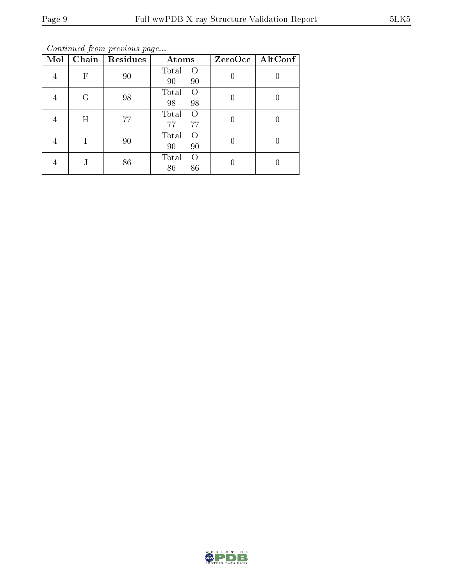Continued from previous page...

| Mol | Chain | Residues | Atoms                     | ZeroOcc | AltConf |  |
|-----|-------|----------|---------------------------|---------|---------|--|
| 4   | F     | 90       | Total<br>$\left( \right)$ |         |         |  |
|     |       |          | 90<br>90                  |         |         |  |
| 4   | G     | 98       | Total<br>$\Omega$         |         |         |  |
|     |       |          | 98<br>98                  |         | U       |  |
|     | Η     | 77       | Total<br>$\Omega$         |         |         |  |
|     |       |          | 77<br>77                  |         |         |  |
| 4   |       | 90       | Total<br>$\left( \right)$ |         |         |  |
|     |       |          | 90<br>90                  |         |         |  |
|     | J     | 86       | Total<br>$\left( \right)$ |         |         |  |
|     |       |          | 86<br>86                  |         |         |  |

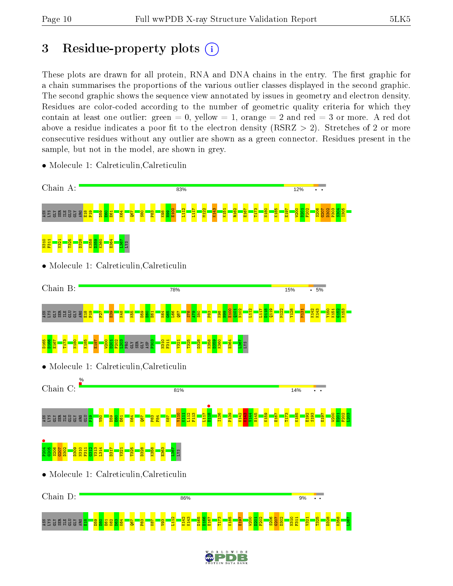## 3 Residue-property plots  $(i)$

These plots are drawn for all protein, RNA and DNA chains in the entry. The first graphic for a chain summarises the proportions of the various outlier classes displayed in the second graphic. The second graphic shows the sequence view annotated by issues in geometry and electron density. Residues are color-coded according to the number of geometric quality criteria for which they contain at least one outlier: green  $= 0$ , yellow  $= 1$ , orange  $= 2$  and red  $= 3$  or more. A red dot above a residue indicates a poor fit to the electron density (RSRZ  $> 2$ ). Stretches of 2 or more consecutive residues without any outlier are shown as a green connector. Residues present in the sample, but not in the model, are shown in grey.

- Chain A: 83% 12% E100  $\frac{112}{112}$ L117 M122 K143 K151 R162 E167 T173 N180 K185 E197 W200  $\frac{1}{2}$ F202 S206 G207 D302 P303  $\frac{304}{2}$ I305 5 SSU SER E GLI GLY E18 P19 D59  $\frac{8}{10}$  $\overline{\mathbf{E}}$ K64  $\overline{\text{sg}}$  $\frac{8}{25}$ P83 K98  $\frac{8}{2}$ E364 N310 F311 V321 T325 D328 K358 D359 K360 L367 LYS • Molecule 1: Calreticulin,Calreticulin Chain B: 78% 15% 5% E100  $\frac{101}{2}$ N102  $\frac{112}{112}$ L117 D118  $\frac{119}{2}$ M122 Y128 M131 K142 K143 Y150 K151  $\frac{152}{2}$ K153 5 SEBLE E E S E18 P19  $\frac{1}{2}$  $\frac{8}{2}$  $\frac{48}{8}$ K55 D59  $\frac{60}{2}$ E61 K64 G65 L66 Q67 S78 A79  $\frac{8}{25}$  $\frac{83}{2}$ K98 흶 D165 D166 E167 T173 N180 K185 E197 W200 D201 F202 <mark>s</mark><br>Radaza P303 N310 F311 V321 T325 D328 K358 D359 K360 E364 L367 LYS • Molecule 1: Calreticulin,Calreticulin Chain C: 81% 14% **•**<br>**b**118 V110 L112 F113 L117 I136 P139  $\frac{142}{2}$  $\frac{29}{21}$  $V_144$ H145 K159 E167 T173 K185 E192 S193 E197 W200 F202 L203 K111 D201 g se a ala a a a <mark>s</mark>  $\frac{9}{21}$  $\frac{1}{2}$ D59  $\frac{8}{2}$  $E_6$ K64  $\overline{\text{pc}}$ P83 F84 K87  $P204$ G205 S206  $\frac{207}{2}$ D302 D309 N310 F311  $312$ V313 L314 D317 V321 T325 D328 K358 E363 L367 LYS • Molecule 1: Calreticulin,Calreticulin Chain D: 86% 9%  $\bullet$ L112 K142 K143 D165 D166 E167 T173 K185 E197 W200 D201 F202 S206  $\frac{6207}{2}$ D302 N310 F311 V321 T325 D328 K358 L367S S S G H B S S S  $\frac{4}{10}$  $\frac{8}{10}$  $\overline{8}$  $\frac{8}{50}$  $\frac{1}{2}$  $\frac{82}{2}$  $\frac{3}{2}$  $\overline{\text{sg}}$  $\frac{2}{3}$  $\frac{1}{8}$  $\frac{8}{2}$
- Molecule 1: Calreticulin,Calreticulin

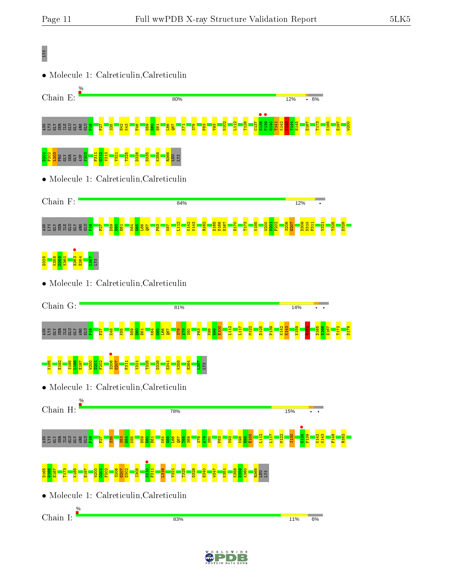## LYS

• Molecule 1: Calreticulin,Calreticulin





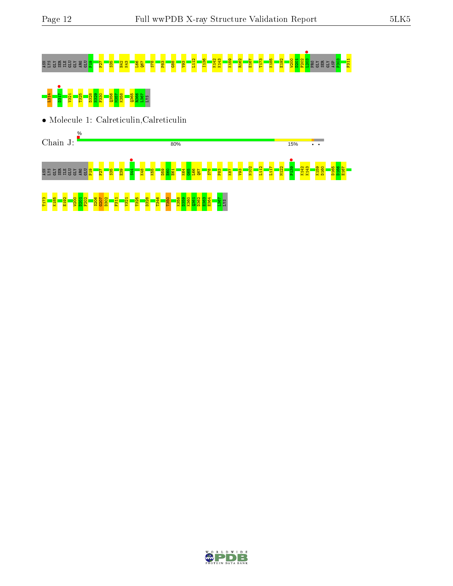15%

 $\ddot{\phantom{a}}$ 

## ASN LYS GLY SER ILE GLU GLY ARG GLU P19 F27 S35 H42 K43 L66 Q67 S78 P83 G88 V93 L112 I136 K142 K143 K159 R162 E167 T173 K185 E192 W200 D201 F202 L203 • PRO GLY SER GLY ASP P303 F311

# L314 D317 • V321 T325 D328 N329 F330 Q356 M357 K358 Q365 R366 L367 LYS

• Molecule 1: Calreticulin,Calreticulin

Chain J:



80%

T173 K185 E192 W200 D201 F202  $\frac{8}{3}$  $\frac{5}{3}$  $\frac{8}{3}$  $\frac{1}{3}$ F311 V321 T325 D328 T346 T350 K358 D359 K360  $2361$ D362 E363 E364 L367 LYS

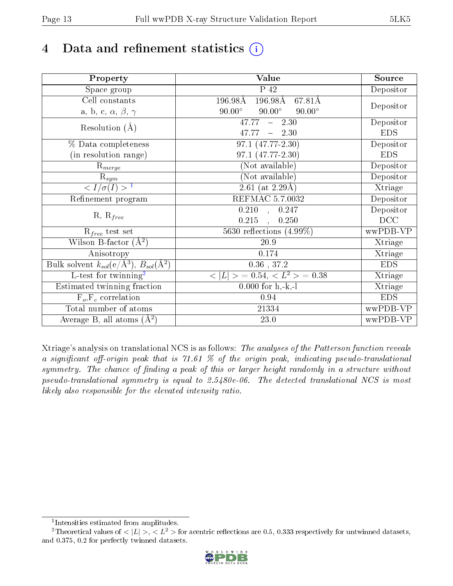## 4 Data and refinement statistics  $(i)$

| Property                                                             | Value                                           | Source     |
|----------------------------------------------------------------------|-------------------------------------------------|------------|
| Space group                                                          | $\overline{P}$ 42                               | Depositor  |
| Cell constants                                                       | 196.98Å<br>196.98Å<br>67.81Å                    |            |
| a, b, c, $\alpha$ , $\beta$ , $\gamma$                               | $90.00^\circ$<br>$90.00^\circ$<br>$90.00^\circ$ | Depositor  |
| Resolution $(A)$                                                     | 47.77<br>$-2.30$                                | Depositor  |
|                                                                      | 47.77<br>$-2.30$                                | <b>EDS</b> |
| % Data completeness                                                  | 97.1 (47.77-2.30)                               | Depositor  |
| (in resolution range)                                                | 97.1 (47.77-2.30)                               | <b>EDS</b> |
| $R_{merge}$                                                          | (Not available)                                 | Depositor  |
| $\mathrm{R}_{sym}$                                                   | (Not available)                                 | Depositor  |
| $\langle I/\sigma(I) \rangle^{-1}$                                   | $\overline{2.61}$ (at 2.29Å)                    | Xtriage    |
| Refinement program                                                   | <b>REFMAC 5.7.0032</b>                          | Depositor  |
|                                                                      | $\overline{0.210}$ ,<br>0.247                   | Depositor  |
| $R, R_{free}$                                                        | 0.215<br>0.250<br>$\mathcal{L}_{\mathbf{a}}$    | DCC        |
| $R_{free}$ test set                                                  | 5630 reflections $(4.99\%)$                     | wwPDB-VP   |
| Wilson B-factor $(A^2)$                                              | 20.9                                            | Xtriage    |
| Anisotropy                                                           | 0.174                                           | Xtriage    |
| Bulk solvent $k_{sol}(e/\mathring{A}^3)$ , $B_{sol}(\mathring{A}^2)$ | $0.36\,$ , $37.2\,$                             | <b>EDS</b> |
| L-test for twinning <sup>2</sup>                                     | $< L >$ = 0.54, $< L2$ = 0.38                   | Xtriage    |
| Estimated twinning fraction                                          | $0.000$ for h,-k,-l                             | Xtriage    |
| $F_o, F_c$ correlation                                               | 0.94                                            | <b>EDS</b> |
| Total number of atoms                                                | 21334                                           | wwPDB-VP   |
| Average B, all atoms $(A^2)$                                         | 23.0                                            | wwPDB-VP   |

Xtriage's analysis on translational NCS is as follows: The analyses of the Patterson function reveals a significant off-origin peak that is 71.61 % of the origin peak, indicating pseudo-translational symmetry. The chance of finding a peak of this or larger height randomly in a structure without pseudo-translational symmetry is equal to 2.5480e-06. The detected translational NCS is most likely also responsible for the elevated intensity ratio.

<sup>&</sup>lt;sup>2</sup>Theoretical values of  $\langle |L| \rangle$ ,  $\langle L^2 \rangle$  for acentric reflections are 0.5, 0.333 respectively for untwinned datasets, and 0.375, 0.2 for perfectly twinned datasets.



<span id="page-12-1"></span><span id="page-12-0"></span><sup>1</sup> Intensities estimated from amplitudes.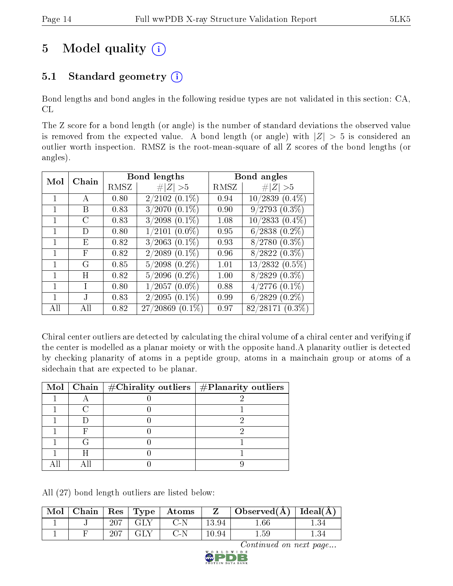## 5 Model quality  $(i)$

### 5.1 Standard geometry  $(i)$

Bond lengths and bond angles in the following residue types are not validated in this section: CA, CL

The Z score for a bond length (or angle) is the number of standard deviations the observed value is removed from the expected value. A bond length (or angle) with  $|Z| > 5$  is considered an outlier worth inspection. RMSZ is the root-mean-square of all Z scores of the bond lengths (or angles).

| Mol | Chain  |      | <b>Bond lengths</b>  |      | Bond angles         |
|-----|--------|------|----------------------|------|---------------------|
|     |        | RMSZ | # $ Z  > 5$          | RMSZ | # $ Z  > 5$         |
|     | A      | 0.80 | $2/2102(0.1\%)$      | 0.94 | $10/2839(0.4\%)$    |
|     | B      | 0.83 | $3/2070$ $(0.1\%)$   | 0.90 | $9/2793(0.3\%)$     |
|     | C      | 0.83 | $3/2098$ $(0.1\%)$   | 1.08 | $10/2833$ $(0.4\%)$ |
|     | $\Box$ | 0.80 | $1/2101~(0.0\%)$     | 0.95 | $6/2838$ $(0.2\%)$  |
|     | F)     | 0.82 | $3/2063$ $(0.1\%)$   | 0.93 | $8/2780$ $(0.3\%)$  |
|     | F      | 0.82 | $2/2089$ $(0.1\%)$   | 0.96 | $8/2822(0.3\%)$     |
|     | G      | 0.85 | $5/2098$ $(0.2\%)$   | 1.01 | $13/2832(0.5\%)$    |
|     | H      | 0.82 | $5/2096$ $(0.2\%)$   | 1.00 | $8/2829$ $(0.3\%)$  |
|     |        | 0.80 | $1/2057(0.0\%)$      | 0.88 | $4/2776$ $(0.1\%)$  |
|     |        | 0.83 | $2/2095(0.1\%)$      | 0.99 | $6/2829$ $(0.2\%)$  |
| All | ΑH     | 0.82 | $27/20869$ $(0.1\%)$ | 0.97 | $82/28171(0.3\%)$   |

Chiral center outliers are detected by calculating the chiral volume of a chiral center and verifying if the center is modelled as a planar moiety or with the opposite hand.A planarity outlier is detected by checking planarity of atoms in a peptide group, atoms in a mainchain group or atoms of a sidechain that are expected to be planar.

|  | Mol   Chain   $\#\text{Chirality outliers}$   $\#\text{Planarity outliers}$ |
|--|-----------------------------------------------------------------------------|
|  |                                                                             |
|  |                                                                             |
|  |                                                                             |
|  |                                                                             |
|  |                                                                             |
|  |                                                                             |
|  |                                                                             |

All (27) bond length outliers are listed below:

| $\mid$ Mol $\mid$ |     |         | $\vert$ Chain $\vert$ Res $\vert$ Type $\vert$ Atoms |       | Observed $(\overline{A})$ Ideal $(\overline{A})$ |  |
|-------------------|-----|---------|------------------------------------------------------|-------|--------------------------------------------------|--|
|                   | 207 | ⊤ GLY - | $C-N$                                                | 13.94 | .66                                              |  |
|                   | 207 | -GLY    | C-N                                                  | 10.94 | $1.59\,$                                         |  |

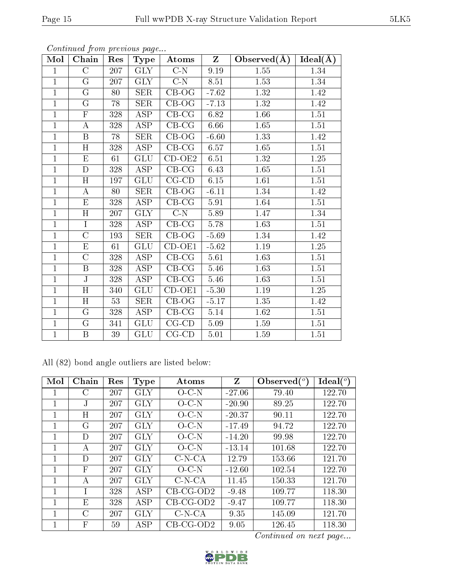| Mol            | Chain              | Res | Type                    | Atoms                     | $\mathbf{Z}$ | Observed $(A)$    | $Ideal(\AA)$ |
|----------------|--------------------|-----|-------------------------|---------------------------|--------------|-------------------|--------------|
| $\mathbf{1}$   | $\overline{\rm C}$ | 207 | $\overline{\text{GLY}}$ | $\overline{C-N}$          | 9.19         | $\overline{1.55}$ | 1.34         |
| $\overline{1}$ | G                  | 207 | <b>GLY</b>              | $C-N$                     | 8.51         | 1.53              | 1.34         |
| $\overline{1}$ | $\overline{G}$     | 80  | $\overline{\text{SER}}$ | $CB-OG$                   | $-7.62$      | 1.32              | 1.42         |
| $\overline{1}$ | G                  | 78  | <b>SER</b>              | $CB-OG$                   | $-7.13$      | 1.32              | 1.42         |
| $\mathbf{1}$   | $\mathbf F$        | 328 | ASP                     | $CB-CG$                   | 6.82         | 1.66              | 1.51         |
| $\overline{1}$ | $\overline{A}$     | 328 | ASP                     | $CB-CG$                   | 6.66         | 1.65              | 1.51         |
| $\mathbf 1$    | B                  | 78  | <b>SER</b>              | $CB-OG$                   | $-6.60$      | 1.33              | 1.42         |
| $\mathbf{1}$   | $\overline{H}$     | 328 | $\overline{\text{ASP}}$ | $CB-CG$                   | 6.57         | 1.65              | 1.51         |
| $\mathbf 1$    | ${\bf E}$          | 61  | GLU                     | $CD-OE2$                  | 6.51         | 1.32              | $1.25\,$     |
| $\overline{1}$ | $\overline{D}$     | 328 | $\overline{\text{ASP}}$ | $CB-CG$                   | 6.43         | 1.65              | $1.51\,$     |
| $\overline{1}$ | H                  | 197 | GLU                     | $CG$ - $CD$               | 6.15         | 1.61              | 1.51         |
| $\mathbf{1}$   | $\bf{A}$           | 80  | <b>SER</b>              | $CB-OG$                   | $-6.11$      | 1.34              | 1.42         |
| $\overline{1}$ | E                  | 328 | $\overline{\text{ASP}}$ | $CB-CG$                   | 5.91         | 1.64              | 1.51         |
| $\mathbf 1$    | $\rm H$            | 207 | <b>GLY</b>              | $C-N$                     | 5.89         | 1.47              | 1.34         |
| $\mathbf 1$    | I                  | 328 | ASP                     | $CB-CG$                   | 5.78         | 1.63              | 1.51         |
| $\mathbf{1}$   | $\overline{C}$     | 193 | <b>SER</b>              | $CB-OG$                   | $-5.69$      | 1.34              | 1.42         |
| $\overline{1}$ | ${\rm E}$          | 61  | GLU                     | $CD-OE1$                  | $-5.62$      | 1.19              | $1.25\,$     |
| $\overline{1}$ | $\overline{\rm C}$ | 328 | $\overline{\text{ASP}}$ | $CB-CG$                   | 5.61         | 1.63              | $1.51\,$     |
| $\mathbf{1}$   | $\, {\bf B}$       | 328 | ASP                     | $CB-CG$                   | 5.46         | 1.63              | 1.51         |
| $\overline{1}$ | $\overline{\rm J}$ | 328 | $\overline{\text{ASP}}$ | $CB-CG$                   | 5.46         | 1.63              | $1.51\,$     |
| $\mathbf{1}$   | $\rm H$            | 340 | GLU                     | $CD-OE1$                  | $-5.30$      | 1.19              | 1.25         |
| $\overline{1}$ | H                  | 53  | <b>SER</b>              | $CB-OG$                   | $-5.17$      | 1.35              | 1.42         |
| $\mathbf{1}$   | $\overline{G}$     | 328 | ASP                     | $\overline{\text{CB-CG}}$ | 5.14         | 1.62              | $1.51\,$     |
| $\mathbf{1}$   | G                  | 341 | GLU                     | $CG$ - $CD$               | 5.09         | 1.59              | $1.51\,$     |
| $\mathbf{1}$   | $\, {\bf B}$       | 39  | GLU                     | $CG$ - $CD$               | 5.01         | $1.59\,$          | 1.51         |

Continued from previous page...

|  |  | All (82) bond angle outliers are listed below: |  |  |
|--|--|------------------------------------------------|--|--|
|  |  |                                                |  |  |

| Mol          | Chain          | Res | Type       | Atoms       | Z        | Observed $(^\circ)$ | Ideal $(^{\circ}$ |
|--------------|----------------|-----|------------|-------------|----------|---------------------|-------------------|
| 1            | $\rm C$        | 207 | GLY        | O C N       | $-27.06$ | 79.40               | 122.70            |
| 1            | J              | 207 | GLY        | O C N       | $-20.90$ | 89.25               | 122.70            |
| 1            | Η              | 207 | GLY        | $O$ C-N     | $-20.37$ | 90.11               | 122.70            |
| $\mathbf{1}$ | G              | 207 | GLY        | $O$ -C-N    | $-17.49$ | 94.72               | 122.70            |
| 1            | D              | 207 | GLY        | $O-C-N$     | $-14.20$ | 99.98               | 122.70            |
| 1            | А              | 207 | GLY        | O C N       | $-13.14$ | 101.68              | 122.70            |
| 1            | D              | 207 | GLY        | $C-N-CA$    | 12.79    | 153.66              | 121.70            |
| 1            | F              | 207 | GLY        | $O-C-N$     | $-12.60$ | 102.54              | 122.70            |
| 1            | А              | 207 | GLY        | $C-N-CA$    | 11.45    | 150.33              | 121.70            |
| 1            |                | 328 | ASP        | $CB-CG-OD2$ | $-9.48$  | 109.77              | 118.30            |
| 1            | E              | 328 | ASP        | $CB-CG-OD2$ | $-9.47$  | 109.77              | 118.30            |
| 1            | $\overline{C}$ | 207 | <b>GLY</b> | $C-N-CA$    | 9.35     | 145.09              | 121.70            |
| 1            | F              | 59  | ASP        | $CB-CG-OD2$ | 9.05     | 126.45              | 118.30            |

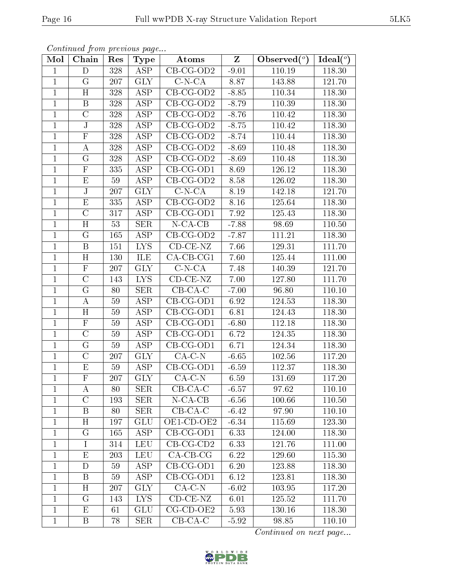| Mol            | Chain                   | Res             | Type                    | Atoms                         | $\overline{\mathrm{z}}$ | Observed $\overline{({}^{\circ})}$ | $\overline{\text{Ideal}({}^o)}$ |
|----------------|-------------------------|-----------------|-------------------------|-------------------------------|-------------------------|------------------------------------|---------------------------------|
| $\overline{1}$ | $\overline{D}$          | 328             | <b>ASP</b>              | $CB-CG-OD2$                   | $-9.01$                 | 110.19                             | 118.30                          |
| $\overline{1}$ | $\overline{G}$          | 207             | <b>GLY</b>              | $C-N-CA$                      | 8.87                    | 143.88                             | 121.70                          |
| $\mathbf 1$    | $\overline{H}$          | 328             | $\overline{\text{ASP}}$ | $CB-CG-OD2$                   | $-8.85$                 | 110.34                             | 118.30                          |
| $\overline{1}$ | $\overline{\mathrm{B}}$ | 328             | $\overline{\text{ASP}}$ | $CB-CG-OD2$                   | $-8.79$                 | 110.39                             | 118.30                          |
| $\overline{1}$ | $\overline{\rm C}$      | 328             | $\overline{\text{ASP}}$ | $CB-CG-OD2$                   | $-8.76$                 | 110.42                             | 118.30                          |
| $\mathbf{1}$   | J                       | 328             | <b>ASP</b>              | $CB$ -CG-OD2                  | $-8.75$                 | 110.42                             | 118.30                          |
| $\mathbf{1}$   | $\overline{\mathrm{F}}$ | 328             | $\overline{ASP}$        | $CB-CG-OD2$                   | $-8.74$                 | 110.44                             | 118.30                          |
| $\mathbf{1}$   | А                       | 328             | <b>ASP</b>              | $CB-CG-OD2$                   | $-8.69$                 | 110.48                             | 118.30                          |
| $\mathbf{1}$   | $\rm G$                 | 328             | <b>ASP</b>              | $CB-CG-OD2$                   | $-8.69$                 | 110.48                             | 118.30                          |
| $\overline{1}$ | $\overline{\mathrm{F}}$ | 335             | $\overline{\text{ASP}}$ | $\overline{\text{CB-CG-OD1}}$ | 8.69                    | 126.12                             | 118.30                          |
| $\mathbf{1}$   | E                       | 59              | <b>ASP</b>              | $CB-CG-OD2$                   | 8.58                    | 126.02                             | 118.30                          |
| $\mathbf{1}$   | J                       | 207             | $\overline{\text{GLY}}$ | $C-N-CA$                      | 8.19                    | 142.18                             | 121.70                          |
| $\mathbf{1}$   | $\overline{E}$          | 335             | <b>ASP</b>              | $CB-CG-OD2$                   | 8.16                    | 125.64                             | 118.30                          |
| $\mathbf{1}$   | $\overline{C}$          | 317             | <b>ASP</b>              | CB-CG-OD1                     | 7.92                    | 125.43                             | 118.30                          |
| $\mathbf{1}$   | $\overline{\mathrm{H}}$ | 53              | $\overline{\text{SER}}$ | $N$ -CA-CB                    | $-7.88$                 | 98.69                              | 110.50                          |
| $\mathbf{1}$   | $\mathbf G$             | 165             | <b>ASP</b>              | $CB-CG-OD2$                   | $-7.87$                 | 111.21                             | 118.30                          |
| $\mathbf{1}$   | B                       | 151             | $\overline{\text{LYS}}$ | $\overline{\text{CD-CE-NZ}}$  | 7.66                    | 129.31                             | 111.70                          |
| $\mathbf{1}$   | H                       | 130             | ILE                     | CA-CB-CG1                     | 7.60                    | 125.44                             | 111.00                          |
| $\overline{1}$ | ${\bf F}$               | 207             | <b>GLY</b>              | $C-N-CA$                      | 7.48                    | 140.39                             | 121.70                          |
| $\mathbf{1}$   | $\overline{\rm C}$      | 143             | $\overline{LYS}$        | $CD-CE-NZ$                    | 7.00                    | 127.80                             | 111.70                          |
| $\mathbf{1}$   | G                       | 80              | <b>SER</b>              | $CB$ -CA-C                    | $-7.00$                 | 96.80                              | 110.10                          |
| $\mathbf{1}$   | А                       | 59              | ASP                     | $CB-CG-OD1$                   | 6.92                    | 124.53                             | 118.30                          |
| $\mathbf{1}$   | H                       | 59              | ASP                     | CB-CG-OD1                     | 6.81                    | 124.43                             | 118.30                          |
| $\overline{1}$ | $\overline{\mathrm{F}}$ | $\overline{59}$ | $\overline{\text{ASP}}$ | $CB-CG-OD1$                   | $-6.80$                 | 112.18                             | 118.30                          |
| $\mathbf{1}$   | $\overline{C}$          | 59              | ASP                     | CB-CG-OD1                     | 6.72                    | 124.35                             | 118.30                          |
| $\mathbf{1}$   | $\mathbf G$             | 59              | ASP                     | CB-CG-OD1                     | 6.71                    | 124.34                             | 118.30                          |
| $\mathbf{1}$   | $\overline{\rm C}$      | 207             | $\overline{\text{GLY}}$ | $CA-C-N$                      | $-6.65$                 | 102.56                             | 117.20                          |
| $\mathbf{1}$   | E                       | 59              | ASP                     | CB-CG-OD1                     | $-6.59$                 | 112.37                             | 118.30                          |
| $\overline{1}$ | $\overline{\mathrm{F}}$ | 207             | <b>GLY</b>              | $CA-C-N$                      | 6.59                    | 131.69                             | 117.20                          |

Continued from previous page...

| $\mathbf{1}$   | G                       | 165 | ASP                     | $CB-CG-OD2$         | $-7.87$ | 111.21                 | 118.30 |
|----------------|-------------------------|-----|-------------------------|---------------------|---------|------------------------|--------|
| 1              | $\boldsymbol{B}$        | 151 | LYS.                    | $CD-CE-NZ$          | 7.66    | 129.31                 | 111.70 |
| $\overline{1}$ | H                       | 130 | ILE                     | $CA$ -CB-CG1        | 7.60    | 125.44                 | 111.00 |
| $\mathbf{1}$   | $\mathbf F$             | 207 | <b>GLY</b>              | $C-N-CA$            | 7.48    | 140.39                 | 121.70 |
| $\overline{1}$ | $\mathcal{C}$           | 143 | LYS.                    | $CD$ - $CE$ - $NZ$  | 7.00    | 127.80                 | 111.70 |
| $\overline{1}$ | $\rm G$                 | 80  | <b>SER</b>              | $CB-CA-C$           | $-7.00$ | 96.80                  | 110.10 |
| $\mathbf{1}$   | Α                       | 59  | $\overline{\text{ASP}}$ | $CB-CG-OD1$         | 6.92    | 124.53                 | 118.30 |
| $\mathbf{1}$   | H                       | 59  | ASP                     | $CB-CG-OD1$         | 6.81    | 124.43                 | 118.30 |
| $\mathbf{1}$   | $\mathbf F$             | 59  | $\overline{\text{ASP}}$ | $CB-CG-OD1$         | $-6.80$ | 112.18                 | 118.30 |
| $\overline{1}$ | $\overline{C}$          | 59  | <b>ASP</b>              | $CB-CG-OD1$         | 6.72    | 124.35                 | 118.30 |
| $\mathbf{1}$   | $\mathbf G$             | 59  | ASP                     | $CB-CG-OD1$         | 6.71    | 124.34                 | 118.30 |
| $\mathbf{1}$   | $\overline{C}$          | 207 | <b>GLY</b>              | $CA-C-N$            | $-6.65$ | 102.56                 | 117.20 |
| $\mathbf{1}$   | E                       | 59  | ASP                     | $CB-CG-OD1$         | $-6.59$ | 112.37                 | 118.30 |
| $\overline{1}$ | $\overline{\mathrm{F}}$ | 207 | $\overline{\text{GLY}}$ | $CA-C-N$            | 6.59    | 131.69                 | 117.20 |
| $\overline{1}$ | Α                       | 80  | <b>SER</b>              | $CB-CA-C$           | $-6.57$ | 97.62                  | 110.10 |
| $\mathbf{1}$   | $\mathcal{C}$           | 193 | <b>SER</b>              | $N$ -CA-CB          | $-6.56$ | 100.66                 | 110.50 |
| $\mathbf{1}$   | $\boldsymbol{B}$        | 80  | <b>SER</b>              | $CB$ -CA-C          | $-6.42$ | 97.90                  | 110.10 |
| $\mathbf{1}$   | H                       | 197 | <b>GLU</b>              | OE1-CD-OE2          | $-6.34$ | 115.69                 | 123.30 |
| $\mathbf{1}$   | $\overline{G}$          | 165 | $\overline{\text{ASP}}$ | $CB-CG-OD1$         | 6.33    | 124.00                 | 118.30 |
| $\mathbf{1}$   | $\mathbf{I}$            | 314 | <b>LEU</b>              | $CB-CG-CD2$         | 6.33    | 121.76                 | 111.00 |
| $\overline{1}$ | $\overline{\mathrm{E}}$ | 203 | <b>LEU</b>              | $CA$ -CB-CG         | 6.22    | 129.60                 | 115.30 |
| $\mathbf{1}$   | $\mathbf D$             | 59  | ASP                     | $CB-CG-OD1$         | 6.20    | 123.88                 | 118.30 |
| $\mathbf{1}$   | $\boldsymbol{B}$        | 59  | <b>ASP</b>              | $CB-CG-OD1$         | 6.12    | 123.81                 | 118.30 |
| $\overline{1}$ | H                       | 207 | <b>GLY</b>              | $CA-C-N$            | $-6.02$ | 103.95                 | 117.20 |
| $\mathbf{1}$   | $\rm G$                 | 143 | LYS <sub>1</sub>        | $CD-CE-NZ$          | 6.01    | 125.52                 | 111.70 |
| $\mathbf{1}$   | $E_{\rm}$               | 61  | GLU                     | $CG$ - $CD$ - $OE2$ | 5.93    | 130.16                 | 118.30 |
| $\mathbf{1}$   | $\, {\bf B}$            | 78  | <b>SER</b>              | $CB-CA-C$           | $-5.92$ | 98.85                  | 110.10 |
|                |                         |     |                         |                     |         | Continued on next page |        |

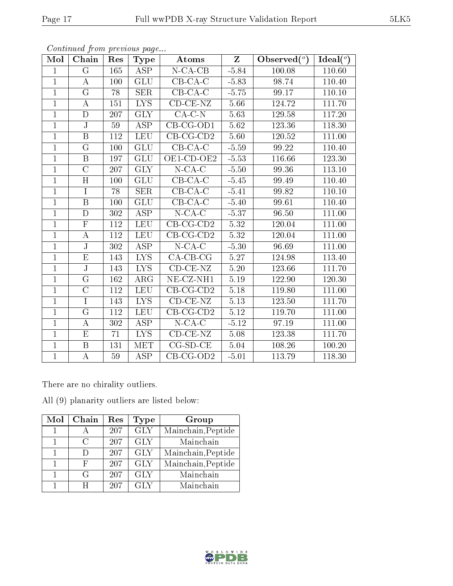| Mol            | Chain                   | Res | Type                    | Atoms                          | $Z_{\rm}$ | Observed $(°)$ | Ideal $(°)$ |
|----------------|-------------------------|-----|-------------------------|--------------------------------|-----------|----------------|-------------|
| $\mathbf{1}$   | $\rm G$                 | 165 | ASP                     | $N$ -CA-CB                     | $-5.84$   | 100.08         | 110.60      |
| $\mathbf{1}$   | А                       | 100 | GLU                     | $CB-CA-C$                      | $-5.83$   | 98.74          | 110.40      |
| $\mathbf{1}$   | $\mathbf G$             | 78  | <b>SER</b>              | $CB-CA-C$                      | $-5.75$   | 99.17          | 110.10      |
| $\mathbf{1}$   | А                       | 151 | $LYS$                   | $CD$ - $CE$ - $NZ$             | 5.66      | 124.72         | 111.70      |
| $\mathbf{1}$   | $\mathbf D$             | 207 | <b>GLY</b>              | $CA-C-N$                       | 5.63      | 129.58         | 117.20      |
| $\mathbf{1}$   | $\mathbf{J}$            | 59  | ASP                     | $CB-CG-OD1$                    | 5.62      | 123.36         | 118.30      |
| $\mathbf{1}$   | $\boldsymbol{B}$        | 112 | <b>LEU</b>              | $CB-CG-CD2$                    | 5.60      | 120.52         | 111.00      |
| $\mathbf{1}$   | $\rm G$                 | 100 | GLU                     | $CB-CA-C$                      | $-5.59$   | 99.22          | 110.40      |
| $\mathbf{1}$   | $\boldsymbol{B}$        | 197 | <b>GLU</b>              | OE1-CD-OE2                     | $-5.53$   | 116.66         | 123.30      |
| $\mathbf{1}$   | $\overline{\rm C}$      | 207 | <b>GLY</b>              | $N$ -CA-C                      | $-5.50$   | 99.36          | 113.10      |
| $\overline{1}$ | H                       | 100 | GLU                     | $CB$ -CA-C                     | $-5.45$   | 99.49          | 110.40      |
| $\overline{1}$ | $\overline{I}$          | 78  | <b>SER</b>              | $CB-CA-C$                      | $-5.41$   | 99.82          | 110.10      |
| $\overline{1}$ | $\, {\bf B}$            | 100 | <b>GLU</b>              | $CB-CA-C$                      | $-5.40$   | 99.61          | 110.40      |
| $\mathbf{1}$   | D                       | 302 | <b>ASP</b>              | $N$ -CA-C                      | $-5.37$   | 96.50          | 111.00      |
| $\overline{1}$ | $\overline{\mathrm{F}}$ | 112 | <b>LEU</b>              | $CB-CG-CD2$                    | 5.32      | 120.04         | 111.00      |
| $\mathbf{1}$   | A                       | 112 | <b>LEU</b>              | $CB-CG-CD2$                    | 5.32      | 120.04         | 111.00      |
| $\overline{1}$ | $\overline{\text{J}}$   | 302 | $\overline{\text{ASP}}$ | $\overline{\text{N-CA}}$ -C    | $-5.30$   | 96.69          | 111.00      |
| $\overline{1}$ | $\mathbf E$             | 143 | LYS.                    | $CA-CB-CG$                     | 5.27      | 124.98         | 113.40      |
| $\mathbf{1}$   | $\overline{\text{J}}$   | 143 | ${\rm LYS}$             | $CD$ - $CE$ - $NZ$             | 5.20      | 123.66         | 111.70      |
| $\overline{1}$ | $\overline{G}$          | 162 | $\rm{ARG}$              | $\overline{\text{NE- CZ-NH1}}$ | 5.19      | 122.90         | 120.30      |
| $\overline{1}$ | $\mathcal{C}$           | 112 | <b>LEU</b>              | $CB-CG-CD2$                    | 5.18      | 119.80         | 111.00      |
| $\overline{1}$ | $\overline{I}$          | 143 | <b>LYS</b>              | $CD-CE-NZ$                     | $5.13\,$  | 123.50         | 111.70      |
| $\mathbf{1}$   | G                       | 112 | <b>LEU</b>              | $\overline{\text{CB-CG-CD2}}$  | 5.12      | 119.70         | 111.00      |
| $\overline{1}$ | А                       | 302 | ASP                     | $N$ -CA-C                      | $-5.12$   | 97.19          | 111.00      |
| $\mathbf{1}$   | E                       | 71  | <b>LYS</b>              | $CD$ - $CE$ - $NZ$             | 5.08      | 123.38         | 111.70      |
| $\mathbf{1}$   | B                       | 131 | MET                     | $CG-SD-CE$                     | 5.04      | 108.26         | 100.20      |
| $\overline{1}$ | $\bf{A}$                | 59  | ASP                     | $CB-CG-OD2$                    | $-5.01$   | 113.79         | 118.30      |

There are no chirality outliers.

All (9) planarity outliers are listed below:

| Mol | Chain         | Res | Type                    | Group              |
|-----|---------------|-----|-------------------------|--------------------|
|     |               | 207 | $\overline{\text{GLY}}$ | Mainchain, Peptide |
|     | $\mathcal{C}$ | 207 | <b>GLY</b>              | Mainchain          |
|     |               | 207 | <b>GLY</b>              | Mainchain, Peptide |
| 1   | F,            | 207 | <b>GLY</b>              | Mainchain, Peptide |
|     | G             | 207 | <b>GLY</b>              | Mainchain          |
|     | H             | 207 | <b>GLY</b>              | Mainchain          |



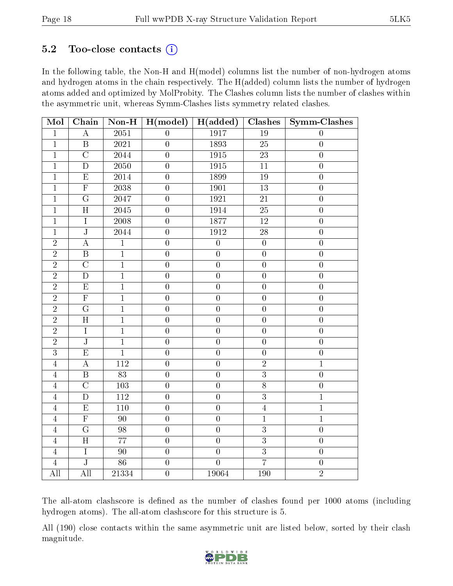#### $5.2$  Too-close contacts  $(i)$

In the following table, the Non-H and H(model) columns list the number of non-hydrogen atoms and hydrogen atoms in the chain respectively. The H(added) column lists the number of hydrogen atoms added and optimized by MolProbity. The Clashes column lists the number of clashes within the asymmetric unit, whereas Symm-Clashes lists symmetry related clashes.

| Mol            | Chain                   | $\overline{\text{Non-H}}$ | H (model)        | $H(\text{added})$ | Clashes          | $Symm$ -Clashes  |
|----------------|-------------------------|---------------------------|------------------|-------------------|------------------|------------------|
| $\mathbf{1}$   | $\bf{A}$                | $\overline{2051}$         | $\overline{0}$   | 1917              | $\overline{19}$  | $\overline{0}$   |
| $\overline{1}$ | $\overline{\mathrm{B}}$ | 2021                      | $\boldsymbol{0}$ | 1893              | $\overline{25}$  | $\boldsymbol{0}$ |
| $\overline{1}$ | $\overline{\rm C}$      | 2044                      | $\boldsymbol{0}$ | 1915              | $23\,$           | $\boldsymbol{0}$ |
| $\overline{1}$ | $\overline{D}$          | 2050                      | $\boldsymbol{0}$ | 1915              | 11               | $\boldsymbol{0}$ |
| $\mathbf 1$    | $\overline{E}$          | 2014                      | $\overline{0}$   | 1899              | $19\,$           | $\boldsymbol{0}$ |
| $\overline{1}$ | $\overline{\mathrm{F}}$ | $\overline{2038}$         | $\overline{0}$   | 1901              | $\overline{13}$  | $\overline{0}$   |
| $\mathbf 1$    | $\overline{G}$          | $\frac{1}{204}$ 7         | $\boldsymbol{0}$ | 1921              | $21\,$           | $\boldsymbol{0}$ |
| $\overline{1}$ | $\overline{\rm H}$      | $\overline{2045}$         | $\overline{0}$   | 1914              | $\overline{25}$  | $\overline{0}$   |
| $\overline{1}$ | $\overline{I}$          | $\sqrt{2008}$             | $\overline{0}$   | 1877              | $\overline{12}$  | $\boldsymbol{0}$ |
| $\mathbf{1}$   | $\overline{\text{J}}$   | 2044                      | $\overline{0}$   | 1912              | $28\,$           | $\boldsymbol{0}$ |
| $\overline{2}$ | $\overline{A}$          | $\overline{1}$            | $\overline{0}$   | $\overline{0}$    | $\overline{0}$   | $\overline{0}$   |
| $\overline{2}$ | $\overline{B}$          | $\mathbf{1}$              | $\boldsymbol{0}$ | $\boldsymbol{0}$  | $\boldsymbol{0}$ | $\boldsymbol{0}$ |
| $\overline{2}$ | $\overline{\rm C}$      | $\overline{1}$            | $\overline{0}$   | $\overline{0}$    | $\overline{0}$   | $\overline{0}$   |
| $\overline{2}$ | D                       | $\overline{1}$            | $\overline{0}$   | $\overline{0}$    | $\overline{0}$   | $\boldsymbol{0}$ |
| $\overline{2}$ | E                       | $\overline{1}$            | $\boldsymbol{0}$ | $\boldsymbol{0}$  | $\boldsymbol{0}$ | $\boldsymbol{0}$ |
| $\overline{2}$ | $\overline{F}$          | $\overline{1}$            | $\boldsymbol{0}$ | $\boldsymbol{0}$  | $\boldsymbol{0}$ | $\boldsymbol{0}$ |
| $\overline{2}$ | $\overline{G}$          | $\overline{1}$            | $\boldsymbol{0}$ | $\overline{0}$    | $\boldsymbol{0}$ | $\boldsymbol{0}$ |
| $\overline{2}$ | $\overline{H}$          | $\overline{1}$            | $\boldsymbol{0}$ | $\boldsymbol{0}$  | $\boldsymbol{0}$ | $\boldsymbol{0}$ |
| $\overline{2}$ | $\rm I$                 | $\mathbf{1}$              | $\boldsymbol{0}$ | $\boldsymbol{0}$  | $\boldsymbol{0}$ | $\boldsymbol{0}$ |
| $\overline{2}$ | $\overline{\text{J}}$   | $\mathbf{1}$              | $\boldsymbol{0}$ | $\boldsymbol{0}$  | $\boldsymbol{0}$ | $\boldsymbol{0}$ |
| $\overline{3}$ | $\overline{E}$          | $\overline{1}$            | $\overline{0}$   | $\overline{0}$    | $\overline{0}$   | $\overline{0}$   |
| $\overline{4}$ | $\boldsymbol{A}$        | $\overline{112}$          | $\overline{0}$   | $\overline{0}$    | $\overline{2}$   | $\overline{1}$   |
| $\overline{4}$ | $\overline{\mathrm{B}}$ | $\overline{83}$           | $\overline{0}$   | $\overline{0}$    | $\overline{3}$   | $\overline{0}$   |
| $\overline{4}$ | $\overline{\rm C}$      | 103                       | $\boldsymbol{0}$ | $\boldsymbol{0}$  | $\overline{8}$   | $\boldsymbol{0}$ |
| $\overline{4}$ | $\overline{\rm D}$      | $\overline{112}$          | $\overline{0}$   | $\overline{0}$    | $\overline{3}$   | $\overline{1}$   |
| $\overline{4}$ | $\overline{E}$          | 110                       | $\overline{0}$   | $\overline{0}$    | $\overline{4}$   | $\overline{1}$   |
| $\overline{4}$ | $\overline{\mathrm{F}}$ | 90                        | $\boldsymbol{0}$ | $\boldsymbol{0}$  | $\mathbf{1}$     | $\overline{1}$   |
| $\overline{4}$ | $\overline{\mathrm{G}}$ | $\overline{98}$           | $\overline{0}$   | $\overline{0}$    | $\overline{3}$   | $\overline{0}$   |
| $\overline{4}$ | $\overline{\rm H}$      | $\overline{77}$           | $\overline{0}$   | $\overline{0}$    | $\overline{3}$   | $\boldsymbol{0}$ |
| $\overline{4}$ | $\overline{I}$          | $\overline{90}$           | $\overline{0}$   | $\overline{0}$    | $\overline{3}$   | $\overline{0}$   |
| $\overline{4}$ | $\overline{\text{J}}$   | 86                        | $\boldsymbol{0}$ | $\overline{0}$    | $\overline{7}$   | $\boldsymbol{0}$ |
| All            | All                     | 21334                     | $\overline{0}$   | 19064             | 190              | $\overline{2}$   |

The all-atom clashscore is defined as the number of clashes found per 1000 atoms (including hydrogen atoms). The all-atom clashscore for this structure is 5.

All (190) close contacts within the same asymmetric unit are listed below, sorted by their clash magnitude.

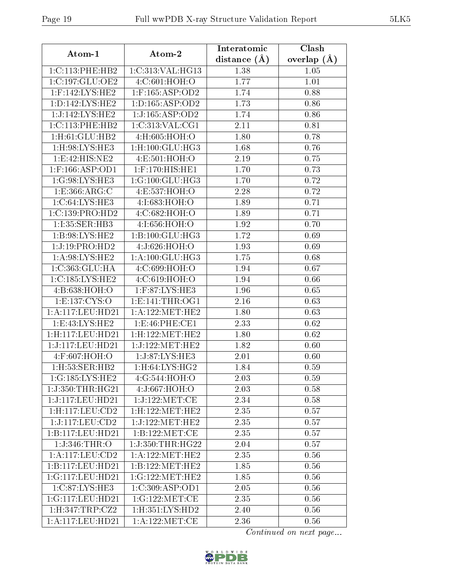| Atom-1                  | Atom-2                        | Interatomic    | Clash         |  |
|-------------------------|-------------------------------|----------------|---------------|--|
|                         |                               | distance $(A)$ | overlap $(A)$ |  |
| 1:C:113:PHE:HB2         | 1:C:313:VAL:HG13              | 1.38           | 1.05          |  |
| 1:C:197:GLU:OE2         | 4:C:601:HOH:O                 | 1.77           | 1.01          |  |
| $1:$ F:142:LYS:HE2      | $1:$ F:165:ASP:OD2            | 1.74           | 0.88          |  |
| 1: D: 142: LYS: HE2     | 1: D: 165: ASP: OD2           | 1.73           | 0.86          |  |
| 1:J:142:LYS:HE2         | 1:J:165:ASP:OD2               | 1.74           | 0.86          |  |
| 1:C:113:PHE:HB2         | 1:C:313:VAL:CG1               | 2.11           | 0.81          |  |
| 1:H:61:GLU:HB2          | 4:H:605:HOH:O                 | 1.80           | 0.78          |  |
| 1:H:98:LYS:HE3          | $1:$ H $:100:$ GLU $:$ H $G3$ | 1.68           | 0.76          |  |
| 1:E:42:HIS:NE2          | 4:E:501:HOH:O                 | 2.19           | 0.75          |  |
| $1:$ F:166:ASP:OD1      | 1:F:170:HIS:HE1               | 1.70           | 0.73          |  |
| 1:G:98:LYS:HE3          | 1:G:100:GLU:HG3               | 1.70           | 0.72          |  |
| 1:E:366:ARG:C           | 4:ES:537:HOH:O                | 2.28           | 0.72          |  |
| 1:C:64:LYS:HE3          | 4:I:683:HOH:O                 | 1.89           | 0.71          |  |
| 1:C:139:PRO:HD2         | 4:C:682:HOH:O                 | 1.89           | 0.71          |  |
| 1:I:35:SER:HB3          | 4:I:656:HOH:O                 | 1.92           | 0.70          |  |
| 1: B:98: LYS: HE2       | 1:B:100:GLU:HG3               | 1.72           | 0.69          |  |
| 1:J:19:PRO:HD2          | 4:J:626:HOH:O                 | 1.93           | 0.69          |  |
| 1: A:98: LYS: HE2       | 1: A: 100: GLU: HG3           | 1.75           | 0.68          |  |
| 1:C:363:GLU:HA          | 4:C:699:HOH:O                 | 1.94           | 0.67          |  |
| 1:C:185:LYS:HE2         | 4:C:619:HOH:O                 | 1.94           | 0.66          |  |
| 4:B:638:HOH:O           | 1:F:87:LYS:HE3                | 1.96           | 0.65          |  |
| 1:E:137:CYS:O           | 1: E: 141: THR: OG1           | 2.16           | 0.63          |  |
| 1:A:117:LEU:HD21        | 1: A: 122: MET: HE2           | 1.80           | 0.63          |  |
| 1: E: 43: LYS: HE2      | 1: E:46: PHE: CE1             | 2.33           | 0.62          |  |
| $1:$ H:117: $LEU:$ HD21 | 1:H:122:MET:HE2               | 1.80           | 0.62          |  |
| 1:J:117:LEU:HD21        | 1:J:122:MET:HE2               | 1.82           | 0.60          |  |
| 4:F:607:HOH:O           | 1:J:87:LYS:HE3                | 2.01           | 0.60          |  |
| 1:H:53:SER:HB2          | 1: H:64: LYS: HG2             | 1.84           | 0.59          |  |
| 1:G:185:LYS:HE2         | 4:G:544:HOH:O                 | 2.03           | 0.59          |  |
| 1:J:350:THR:HG21        | 4:J:667:HOH:O                 | 2.03           | 0.58          |  |
| 1:J:117:LEU:HD21        | 1:J:122:MET:CE                | 2.34           | 0.58          |  |
| 1:H:117:LEU:CD2         | 1:H:122:MET:HE2               | 2.35           | 0.57          |  |
| 1:J:117:LEU:CD2         | 1:J:122:MET:HE2               | 2.35           | 0.57          |  |
| 1:B:117:LEU:HD21        | 1:B:122:MET:CE                | 2.35           | 0.57          |  |
| 1:J:346:THR:O           | 1:J:350:THR:HG22              | 2.04           | 0.57          |  |
| 1:A:117:LEU:CD2         | 1: A: 122: MET: HE2           | 2.35           | 0.56          |  |
| 1:B:117:LEU:HD21        | 1:B:122:MET:HE2               | 1.85           | 0.56          |  |
| 1:G:117:LEU:HD21        | 1:G:122:MET:HE2               | 1.85           | 0.56          |  |
| 1:C:87:LYS:HE3          | 1:C:309:ASP:OD1               | 2.05           | 0.56          |  |
| 1:G:117:LEU:HD21        | 1:G:122:MET:CE                | 2.35           | 0.56          |  |
| 1: H:347: TRP: CZ2      | 1: H: 351: LYS: HD2           | 2.40           | 0.56          |  |
| 1:A:117:LEU:HD21        | 1: A: 122: MET:CE             | 2.36           | 0.56          |  |

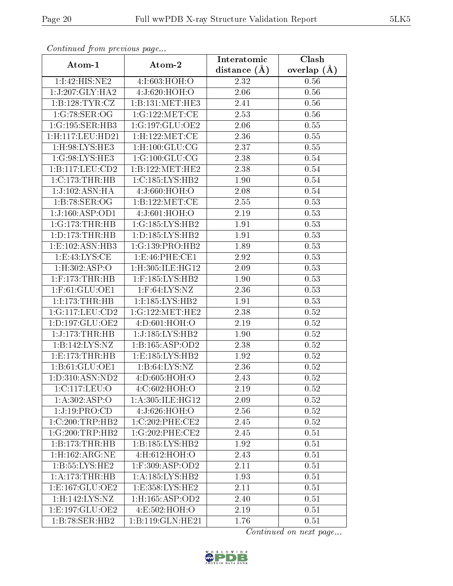|                                     |                                  | Interatomic       | Clash         |
|-------------------------------------|----------------------------------|-------------------|---------------|
| Atom-1                              | Atom-2                           | distance $(A)$    | overlap $(A)$ |
| 1:1:42:HIS:NE2                      | 4:I:603:HOH:O                    | 2.32              | 0.56          |
| 1:J:207:GLY:HA2                     | 4:J:620:HOH:O                    | 2.06              | 0.56          |
| 1:B:128:TYR:CZ                      | 1:B:131:MET:HE3                  | 2.41              | 0.56          |
| 1:G:78:SER:OG                       | 1:G:122:MET:CE                   | 2.53              | 0.56          |
| 1:G:195:SER:HB3                     | 1:G:197:GLU:OE2                  | $2.\overline{06}$ | 0.55          |
| 1:H:117:LEU:HD21                    | 1:H:122:MET:CE                   | 2.36              | 0.55          |
| 1:H:98:LYS:HE3                      | $1:$ H:100:GLU:CG                | 2.37              | 0.55          |
| 1:G:98:LYS:HE3                      | 1:G:100:GLU:CG                   | 2.38              | 0.54          |
| 1: B: 117: LEU: CD2                 | 1:B:122:MET:HE2                  | 2.38              | 0.54          |
| $1:C:173$ : THR: HB                 | 1:C:185:LYS:HB2                  | 1.90              | 0.54          |
| $1:J:102:ASN:H\overline{A}$         | 4:J:660:HOH:O                    | 2.08              | 0.54          |
| 1:B:78:SER:OG                       | 1:B:122:MET:CE                   | 2.55              | 0.53          |
| 1:J:160:ASP:OD1                     | 4:J:601:HOH:O                    | 2.19              | 0.53          |
| 1:G:173:THR:HB                      | 1:G:185:LYS:HB2                  | 1.91              | 0.53          |
| 1: D: 173: THR: HB                  | 1: D: 185: LYS: HB2              | 1.91              | 0.53          |
| 1:E:102:ASN:HB3                     | 1:G:139:PRO:HB2                  | 1.89              | 0.53          |
| 1: E:43: LYS: CE                    | 1:E:46:PHE:CE1                   | 2.92              | 0.53          |
| $1: H:302: \overline{ASP:O}$        | 1:H:305:ILE:HG12                 | 2.09              | 0.53          |
| $1:$ F:173:THR:HB                   | $1:$ F:185:LYS:HB2               | 1.90              | 0.53          |
| 1:F:61:GLU:OE1                      | $1:$ F:64:LYS:NZ                 | 2.36              | 0.53          |
| 1:1:173:THR:HB                      | 1:I:185:LYS:HB2                  | 1.91              | 0.53          |
| 1:G:117:LEU:CD2                     | 1:G:122:MET:HE2                  | 2.38              | 0.52          |
| 1: D: 197: GLU: OE2                 | 4:D:601:HOH:O                    | 2.19              | 0.52          |
| 1:J:173:THR:HB                      | 1:J:185:LYS:HB2                  | 1.90              | 0.52          |
| 1:B:142:LYS:NZ                      | 1: B: 165: ASP: OD2              | 2.38              | 0.52          |
| 1:E:173:THR:HB                      | 1: E: 185: LYS: HB2              | 1.92              | 0.52          |
| 1:B:61:GLU:OE1                      | 1: B:64: LYS:NZ                  | 2.36              | 0.52          |
| 1: D: 310: ASN: ND2                 | 4:D:605:HOH:O                    | 2.43              | 0.52          |
| 1:C:117:LEU:O                       | 4:C:602:HOH:O                    | 2.19              | 0.52          |
| 1: A:302: ASP:O                     | 1:A:305:ILE:HG12                 | 2.09              | 0.52          |
| 1:J:19:PRO:CD                       | 4:J:626:HOH:O                    | 2.56              | 0.52          |
| $1:C:200$ :TRP:H $\overline{B2}$    | 1:C:202:PHE:CE2                  | 2.45              | 0.52          |
| $1:G:200:\overline{\text{TRP:HB2}}$ | 1:G:202:PHE:CE2                  | 2.45              | 0.51          |
| 1:B:173:THR:HB                      | 1:B:185:LYS:HB2                  | 1.92              | 0.51          |
| $1:$ H:162:ARG:NE                   | 4:H:612:HOH:O                    | 2.43              | 0.51          |
| 1: B: 55: LYS: HE2                  | $1:$ F:309:ASP:OD2               | 2.11              | 0.51          |
| 1: A:173:THR:HB                     | 1: A: 185: LYS: HB2              | 1.93              | 0.51          |
| 1: E: 167: GLU: OE2                 | $1: E: 358: LYS: \overline{HE2}$ | 2.11              | 0.51          |
| 1:H:142:LYS:NZ                      | 1:H:165:ASP:OD2                  | 2.40              | 0.51          |
| 1:E:197:GLU:OE2                     | 4:E:502:HOH:O                    | 2.19              | 0.51          |
| 1:B:78:SER:HB2                      | 1:B:119:GLN:HE21                 | 1.76              | 0.51          |

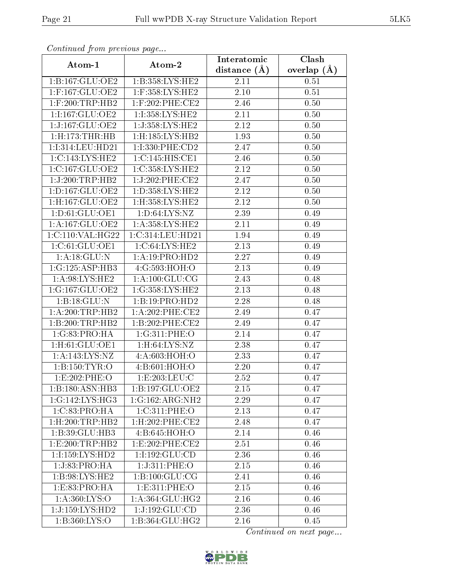| Continuea from previous page           |                            | Interatomic    | Clash         |  |
|----------------------------------------|----------------------------|----------------|---------------|--|
| Atom-1                                 | Atom-2                     | distance $(A)$ | overlap $(A)$ |  |
| 1:B:167:GLU:OE2                        | 1:B:358:LYS:HE2            | 2.11           | 0.51          |  |
| $1:$ F:167:GLU:OE2                     | 1:F:358:LYS:HE2            | 2.10           | 0.51          |  |
| $1:$ F:200:TRP:HB2                     | $1:$ F:202:PHE:CE2         | 2.46           | 0.50          |  |
| 1:I:167:GLU:OE2                        | 1:I:358:LYS:HE2            | 2.11           | 0.50          |  |
| 1:J:167:GLU:OE2                        | 1:J:358:LYS:HE2            | 2.12           | 0.50          |  |
| 1: H: 173: THR: HB                     | 1:H:185:LYS:HB2            | 1.93           | 0.50          |  |
| 1:I:314:LEU:HD21                       | 1:I:330:PHE:CD2            | 2.47           | 0.50          |  |
| 1: C: 143: LYS: HE2                    | 1:C:145:HIS:CE1            | 2.46           | 0.50          |  |
| 1:C:167:GLU:OE2                        | 1:C:358:LYS:HE2            | 2.12           | 0.50          |  |
| 1:J:200:TRP:HB2                        | 1:J:202:PHE:CE2            | 2.47           | 0.50          |  |
| 1:D:167:GLU:OE2                        | 1: D: 358: LYS: HE2        | 2.12           | 0.50          |  |
| 1:H:167:GLU:OE2                        | 1:H:358:LYS:HE2            | 2.12           | 0.50          |  |
| 1: D: 61: GLU: OE1                     | 1: D:64: LYS: NZ           | 2.39           | 0.49          |  |
| 1:A:167:GLU:OE2                        | 1: A:358:LYS:HE2           | 2.11           | 0.49          |  |
| 1:C:110:VAL:HG22                       | 1:C:314:LEU:HD21           | 1.94           | 0.49          |  |
| 1:C:61:GLU:OE1                         | 1:C:64:LYS:HE2             | 2.13           | 0.49          |  |
| 1:A:18:GLU:N                           | 1:A:19:PRO:HD2             | 2.27           | 0.49          |  |
| 1:G:125:ASP:HB3                        | 4:G:593:HOH:O              | 2.13           | 0.49          |  |
| $1:\overline{A:98:L}YS:\overline{HE2}$ | 1: A: 100: GLU: CG         | 2.43           | 0.48          |  |
| 1:G:167:GLU:OE2                        | 1:G:358:LYS:HE2            | 2.13           | 0.48          |  |
| 1:B:18:GLU:N                           | 1:B:19:PRO:HD2             | 2.28           | 0.48          |  |
| 1:A:200:TRP:HB2                        | 1:A:202:PHE:CE2            | 2.49           | 0.47          |  |
| 1:B:200:TRP:HB2                        | 1:B:202:PHE:CE2            | 2.49           | 0.47          |  |
| 1:G:83:PRO:HA                          | 1:G:311:PHE:O              | 2.14           | 0.47          |  |
| 1:H:61:GLU:OE1                         | 1: H:64: LYS: NZ           | 2.38           | 0.47          |  |
| 1:A:143:LYS:NZ                         | 4:A:603:HOH:O              | 2.33           | 0.47          |  |
| 1: B: 150: TYR: O                      | 4:B:601:HOH:O              | 2.20           | 0.47          |  |
| 1:E:202:PHE:O                          | 1: E: 203: LEU: C          | 2.52           | 0.47          |  |
| 1:B:180:ASN:HB3                        | 1:B:197:GLU:OE2            | 2.15           | 0.47          |  |
| 1:G:142:LYS:HG3                        | 1:G:162:ARG:NH2            | 2.29           | 0.47          |  |
| 1:C:83:PRO:HA                          | 1:C:311:PHE:O              | 2.13           | 0.47          |  |
| $1:$ H $:200:$ TRP $:$ HB2             | $1:$ H $:202:$ PHE $:$ CE2 | 2.48           | 0.47          |  |
| 1:B:39:GLU:HB3                         | 4:B:645:HOH:O              | 2.14           | 0.46          |  |
| 1: E:200:TRP:HB2                       | 1:E:202:PHE:CE2            | 2.51           | 0.46          |  |
| 1:I:159:LYS:HD2                        | 1:1:192:GLU:CD             | 2.36           | 0.46          |  |
| 1:J:83:PRO:HA                          | 1:J:311:PHE:O              | 2.15           | 0.46          |  |
| 1: B:98: LYS: HE2                      | 1:B:100:GLU:CG             | 2.41           | 0.46          |  |
| 1:E:83:PRO:HA                          | 1: E: 311: PHE: O          | 2.15           | 0.46          |  |
| 1:A:360:LYS:O                          | 1: A: 364: GLU: HG2        | 2.16           | 0.46          |  |
| 1:J:159:LYS:HD2                        | 1:J:192:GLU:CD             | 2.36           | 0.46          |  |
| 1: B:360: LYS:O                        | 1:B:364:GLU:HG2            | 2.16           | 0.45          |  |

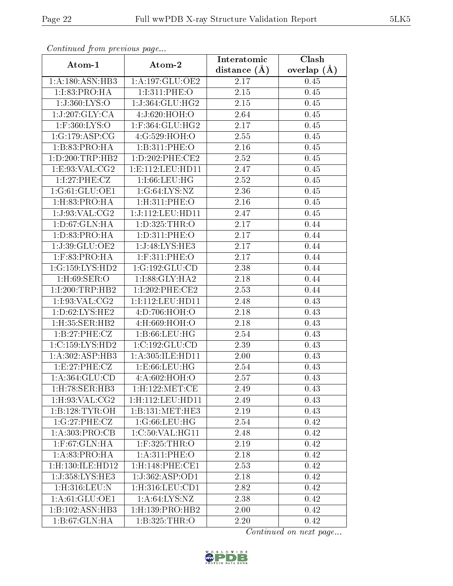| Comunaca jiom previous page  |                               | Interatomic       | Clash<br>overlap $(\AA)$ |  |
|------------------------------|-------------------------------|-------------------|--------------------------|--|
| Atom-1                       | Atom-2                        | distance $(A)$    |                          |  |
| 1:A:180:ASN:HB3              | 1:A:197:GLU:OE2               | 2.17              | 0.45                     |  |
| 1:1:83:PRO:HA                | 1:I:311:PHE:O                 | 2.15              | 0.45                     |  |
| 1:J:360:LYS:O                | 1:J:364:GLU:HG2               | 2.15              | 0.45                     |  |
| 1:J:207:GLY:CA               | 4:J:620:HOH:O                 | 2.64              | 0.45                     |  |
| $1:$ F:360:LYS:O             | $1:$ F:364:GLU:HG2            | 2.17              | 0.45                     |  |
| 1:G:179:ASP:CG               | 4:G:529:HOH:O                 | 2.55              | 0.45                     |  |
| 1:B:83:PRO:HA                | 1:B:311:PHE:O                 | 2.16              | 0.45                     |  |
| 1: D: 200: TRP: HB2          | 1:D:202:PHE:CE2               | 2.52              | 0.45                     |  |
| 1:E:93:VAL:CG2               | 1: E: 112: LEU: HD11          | 2.47              | 0.45                     |  |
| 1:1:27:PHE:CZ                | 1:1:66:LEU:HG                 | 2.52              | 0.45                     |  |
| 1:G:61:GLU:OE1               | 1:G:64:LYS:NZ                 | 2.36              | 0.45                     |  |
| 1: H: 83: PRO: HA            | $1:$ H $:311:$ PHE $:$ O      | 2.16              | 0.45                     |  |
| 1:J:93:VAL:CG2               | 1:J:112:LEU:HD11              | 2.47              | 0.45                     |  |
| 1: D:67: GLN: HA             | 1:D:325:THR:O                 | 2.17              | 0.44                     |  |
| 1: D: 83: PRO:HA             | 1:D:311:PHE:O                 | 2.17              | 0.44                     |  |
| 1:J:39:GLU:OE2               | 1:J:48:LYS:HE3                | 2.17              | 0.44                     |  |
| $1:$ F:83:PRO:HA             | 1:F:311:PHE:O                 | 2.17              | 0.44                     |  |
| 1:G:159:LYS:HD2              | 1:G:192:GLU:CD                | 2.38              | 0.44                     |  |
| $1:$ H $:69:$ SER $:$ O      | 1:I:88:GLY:HA2                | 2.18              | 0.44                     |  |
| 1:1:200:TRP:HB2              | $1:1:202:$ PHE:CE2            | 2.53              | 0.44                     |  |
| 1:1:93:VAL:CG2               | 1:I:112:LEU:HD11              | 2.48              | 0.43                     |  |
| 1: D:62: LYS: HE2            | 4:D:706:HOH:O                 | 2.18              | 0.43                     |  |
| 1:H:35:SER:HB2               | 4:H:669:HOH:O                 | 2.18              | 0.43                     |  |
| 1:B:27:PHE:CZ                | 1:B:66:LEU:HG                 | 2.54              | 0.43                     |  |
| 1:C:159:LYS:HD2              | 1:C:192:GLU:CD                | 2.39              | 0.43                     |  |
| 1:A:302:ASP:HB3              | 1:A:305:ILE:HD11              | 2.00              | 0.43                     |  |
| 1: E:27: PHE: CZ             | 1: E:66: LEU: HG              | 2.54              | 0.43                     |  |
| 1: A: 364: GLU: CD           | 4:A:602:HOH:O                 | $\overline{2}.57$ | 0.43                     |  |
| 1:H:78:SER:HB3               | 1:H:122:MET:CE                | 2.49              | 0.43                     |  |
| 1:H:93:VAL:CG2               | 1:H:112:LEU:HD11              | 2.49              | 0.43                     |  |
| 1:B:128:TYR:OH               | 1:B:131:MET:HE3               | 2.19              | 0.43                     |  |
| 1:G:27:PHE:CZ                | 1:G:66:LEU:HG                 | 2.54              | 0.42                     |  |
| 1: A:303: PRO:CB             | 1:C:50:VAL:HG11               | 2.48              | 0.42                     |  |
| $1:$ F:67:GLN:HA             | $1:$ F:325:THR:O              | 2.19              | 0.42                     |  |
| 1:A:83:PRO:HA                | 1: A:311: PHE:O               | 2.18              | 0.42                     |  |
| 1:H:130:ILE:HD12             | 1:H:148:PHE:CE1               | 2.53              | 0.42                     |  |
| 1:J:358:LYS:HE3              | 1:J:362:ASP:OD1               | 2.18              | 0.42                     |  |
| 1:H:316:LEU:N                | 1: H:316: LEU: CD1            | 2.82              | 0.42                     |  |
| 1:A:61:GLU:OE1               | 1: A:64: LYS:NZ               | 2.38              | 0.42                     |  |
| $1:B:102:ASN:H\overline{B3}$ | $1:$ H $:139:$ PRO $:$ HB $2$ | 2.00              | 0.42                     |  |
| 1:B:67:GLN:HA                | 1:B:325:THR:O                 | 2.20              | 0.42                     |  |

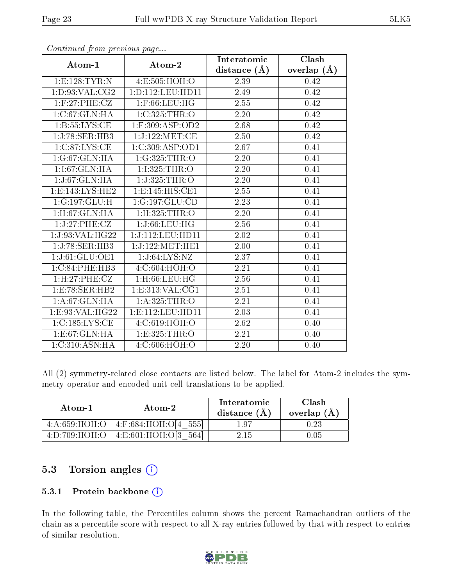|                             |                          | Interatomic       | Clash             |
|-----------------------------|--------------------------|-------------------|-------------------|
| Atom-1                      | Atom-2                   | distance $(A)$    | overlap $(\AA)$   |
| 1: E: 128: TYR: N           | 4:E:505:HOH:O            | 2.39              | 0.42              |
| 1: D: 93: VAL: CG2          | 1: D: 112: LEU: HD11     | 2.49              | $0.42\,$          |
| $1:$ F:27:PHE:CZ            | $1:$ F:66:LEU:HG         | 2.55              | 0.42              |
| 1:C:67:GLN:HA               | 1:C:325:THR:O            | 2.20              | 0.42              |
| 1: B: 55: LYS: CE           | $1:$ F:309:ASP:OD2       | 2.68              | 0.42              |
| 1:J:78:SER:HB3              | 1:J:122:MET:CE           | $2.50\,$          | 0.42              |
| 1:C:87:LYS:CE               | 1:C:309:ASP:OD1          | 2.67              | 0.41              |
| 1:G:67:GLN:HA               | 1:G:325:THR:O            | 2.20              | 0.41              |
| 1:I:67:GLN:HA               | 1:I:325:THR:O            | 2.20              | 0.41              |
| 1:J:67:GLN:HA               | 1:J:325:THR:O            | $\overline{2.20}$ | 0.41              |
| 1: E: 143: LYS: HE2         | 1:E:145:HIS:CE1          | 2.55              | 0.41              |
| $1:G:197:GLU:\overline{H}$  | 1:G:197:GLU:CD           | 2.23              | 0.41              |
| 1: H: 67: GLN: HA           | $1:$ H $:325:$ THR $:$ O | 2.20              | 0.41              |
| 1:J:27:PHE:CZ               | 1:J:66:LEU:HG            | 2.56              | $\overline{0.41}$ |
| 1:J:93:VAL:HG22             | 1:J:112:LEU:HD11         | 2.02              | 0.41              |
| 1:J:78:SER:HB3              | 1:J:122:MET:HE1          | 2.00              | 0.41              |
| 1:J:61:GLU:OE1              | 1:J:64:LYS:NZ            | 2.37              | 0.41              |
| 1:C:84:PHE:HB3              | 4:C:604:HOH:O            | $\overline{2.21}$ | 0.41              |
| 1: H: 27: PHE: CZ           | $1:$ H:66:LEU:HG         | $\overline{2.56}$ | 0.41              |
| 1: E: 78: SER: HB2          | 1:E:313:VAL:CG1          | 2.51              | 0.41              |
| 1: A:67:GLN:HA              | 1:A:325:THR:O            | $\overline{2.21}$ | 0.41              |
| 1:E:93:VAL:HG22             | 1: E: 112: LEU: HD11     | 2.03              | 0.41              |
| 1:C:185:LYS:CE              | 4:C:619:HOH:O            | 2.62              | 0.40              |
| 1:E:67:GLN:HA               | 1:E:325:THR:O            | $\overline{2.21}$ | 0.40              |
| $1:C:310:ASN:\overline{HA}$ | 4:C:606:HOH:O            | 2.20              | 0.40              |

All (2) symmetry-related close contacts are listed below. The label for Atom-2 includes the symmetry operator and encoded unit-cell translations to be applied.

| Atom-1        | Atom-2                                   | Interatomic<br>distance $(\AA)$ | Clash<br>overlap $(A)$ |
|---------------|------------------------------------------|---------------------------------|------------------------|
|               | $4:A:659:HOH:O$   $4:F:684:HOH:O[4 555]$ | 197                             |                        |
| 4:D:709:HOH:O | 4: E: 601: HOH: O[3 564]                 | 2.15                            |                        |

#### 5.3 Torsion angles (i)

#### 5.3.1 Protein backbone (i)

In the following table, the Percentiles column shows the percent Ramachandran outliers of the chain as a percentile score with respect to all X-ray entries followed by that with respect to entries of similar resolution.

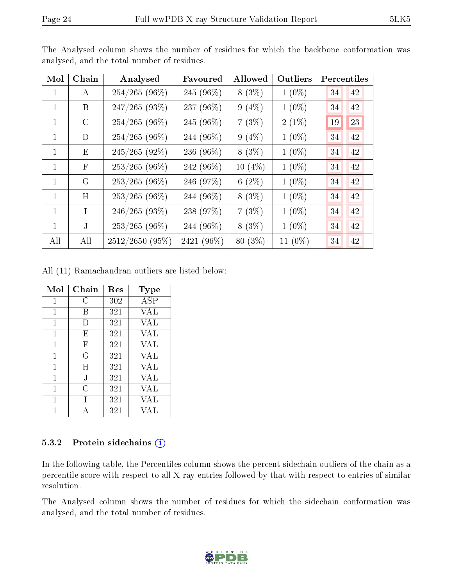| Mol          | Chain         | Analysed        | Favoured     | Allowed   | Outliers   | Percentiles |
|--------------|---------------|-----------------|--------------|-----------|------------|-------------|
| 1            | A             | $254/265(96\%)$ | 245 (96%)    | $8(3\%)$  | $1(0\%)$   | 34<br>42    |
| 1            | B             | 247/265(93%)    | 237 (96%)    | $9(4\%)$  | $1(0\%)$   | 34<br>42    |
| 1            | $\mathcal{C}$ | $254/265(96\%)$ | 245 $(96\%)$ | $7(3\%)$  | $2(1\%)$   | 19<br>23    |
| 1            | D             | $254/265(96\%)$ | 244 (96%)    | $9(4\%)$  | $1(0\%)$   | 34<br>42    |
| 1            | Е             | $245/265(92\%)$ | 236 (96%)    | $8(3\%)$  | $1(0\%)$   | 34<br>42    |
| 1.           | $_{\rm F}$    | $253/265(96\%)$ | 242 (96%)    | $10(4\%)$ | $1(0\%)$   | 34<br>42    |
| 1            | G             | $253/265(96\%)$ | 246 (97%)    | 6 $(2\%)$ | $1(0\%)$   | 34<br>42    |
| $\mathbf{1}$ | H             | $253/265(96\%)$ | 244 (96%)    | $8(3\%)$  | $1(0\%)$   | 34<br>42    |
| 1            | L             | 246/265(93%)    | 238 (97%)    | 7(3%)     | $1(0\%)$   | 34<br>42    |
| 1            | $\bf J$       | $253/265(96\%)$ | 244 (96%)    | $8(3\%)$  | $1(0\%)$   | 34<br>42    |
| All          | All           | 2512/2650 (95%) | 2421 (96%)   | 80 (3%)   | 11 $(0\%)$ | 34<br>42    |

The Analysed column shows the number of residues for which the backbone conformation was analysed, and the total number of residues.

All (11) Ramachandran outliers are listed below:

| Mol | Chain  | Res | <b>Type</b> |
|-----|--------|-----|-------------|
| 1   | С      | 302 | $\rm{ASP}$  |
| 1   | B      | 321 | VAL         |
| 1   | $\Box$ | 321 | VAL         |
| 1   | E      | 321 | VAL         |
| 1   | F      | 321 | VAL         |
| 1   | G      | 321 | <b>VAL</b>  |
| 1   | Η      | 321 | VAL         |
| 1   | J      | 321 | <b>VAL</b>  |
| 1   | C      | 321 | VAL         |
| 1   |        | 321 | VAL         |
|     |        | 321 | VAI.        |

#### 5.3.2 Protein sidechains (i)

In the following table, the Percentiles column shows the percent sidechain outliers of the chain as a percentile score with respect to all X-ray entries followed by that with respect to entries of similar resolution.

The Analysed column shows the number of residues for which the sidechain conformation was analysed, and the total number of residues.

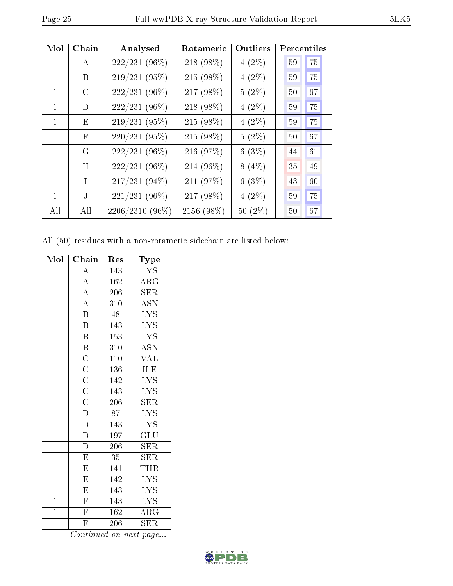| Mol          | Chain         | Analysed        | Rotameric  | Outliers  | <b>Percentiles</b> |    |
|--------------|---------------|-----------------|------------|-----------|--------------------|----|
| 1            | A             | 222/231 (96%)   | 218 (98%)  | $4(2\%)$  | 59                 | 75 |
| 1            | B             | 219/231 (95%)   | 215 (98%)  | $4(2\%)$  | 59                 | 75 |
| 1            | $\mathcal{C}$ | 222/231 (96%)   | 217 (98%)  | $5(2\%)$  | 50                 | 67 |
| 1            | D             | 222/231 (96%)   | 218 (98%)  | $4(2\%)$  | 59                 | 75 |
| 1            | E             | 219/231 (95%)   | 215 (98%)  | $4(2\%)$  | 59                 | 75 |
| 1            | $\mathbf{F}$  | $220/231(95\%)$ | 215 (98%)  | $5(2\%)$  | 50                 | 67 |
| 1            | G             | $222/231(96\%)$ | 216 (97%)  | 6(3%)     | 44                 | 61 |
| $\mathbf{1}$ | H             | $222/231(96\%)$ | 214 (96%)  | $8(4\%)$  | 35                 | 49 |
| 1            | T             | 217/231 (94%)   | 211 (97%)  | 6(3%)     | 43                 | 60 |
| 1            | J.            | 221/231 (96%)   | 217 (98%)  | $4(2\%)$  | 59                 | 75 |
| All          | All           | 2206/2310 (96%) | 2156 (98%) | $50(2\%)$ | 50                 | 67 |

All (50) residues with a non-rotameric sidechain are listed below:

| Mol            | Chain                   | Res              | Type                                |
|----------------|-------------------------|------------------|-------------------------------------|
| $\overline{1}$ | $\overline{\rm A}$      | 143              | <b>LYS</b>                          |
| $\mathbf{1}$   | $\overline{\rm A}$      | 162              | $\rm{ARG}$                          |
| $\overline{1}$ | $\overline{\rm A}$      | 206              | $\overline{\text{SER}}$             |
| $\mathbf{1}$   | $\overline{\rm A}$      | 310              | <b>ASN</b>                          |
| $\overline{1}$ | $\overline{\mathrm{B}}$ | 48               | $\overline{\text{LYS}}$             |
| $\overline{1}$ | $\overline{\mathrm{B}}$ | 143              | <b>LYS</b>                          |
| $\overline{1}$ | $\overline{\mathrm{B}}$ | 153              | <b>LYS</b>                          |
| $\overline{1}$ | $\overline{B}$          | 310              | $\overline{\mathrm{ASN}}$           |
| $\overline{1}$ | $\overline{\rm C}$      | 110              | <b>VAL</b>                          |
| $\overline{1}$ | $\overline{\rm C}$      | 136              | ILE                                 |
| $\overline{1}$ | $\overline{\rm C}$      | 142              | $\overline{\text{LYS}}$             |
| $\overline{1}$ | $\overline{\rm C}$      | 143              | $\overline{L}YS$                    |
| $\overline{1}$ | $\overline{\rm C}$      | $\overline{206}$ | $\overline{\text{SER}}$             |
| $\overline{1}$ | $\overline{\rm D}$      | 87               | $\overline{\text{LYS}}$             |
| $\overline{1}$ | $\overline{\rm D}$      | 143              | $\overline{\text{LYS}}$             |
| $\overline{1}$ | $\overline{\rm D}$      | 197              | $\mathrm{GL} \overline{\mathrm{U}}$ |
| $\overline{1}$ | $\overline{\rm D}$      | $\overline{206}$ | <b>SER</b>                          |
| $\overline{1}$ | $\overline{E}$          | $\overline{35}$  | SER                                 |
| $\overline{1}$ | $\overline{\mathrm{E}}$ | 141              | THR                                 |
| $\overline{1}$ | $\overline{\mathrm{E}}$ | 142              | $\overline{\text{LYS}}$             |
| $\overline{1}$ | $\overline{\mathrm{E}}$ | 143              | $\overline{\text{LYS}}$             |
| $\overline{1}$ | $\overline{\mathrm{F}}$ | 143              | $\overline{\mathrm{LYS}}$           |
| $\overline{1}$ | $\overline{\mathrm{F}}$ | 162              | $\rm{ARG}$                          |
| $\overline{1}$ | $\overline{\mathrm{F}}$ | 206              | <b>SER</b>                          |

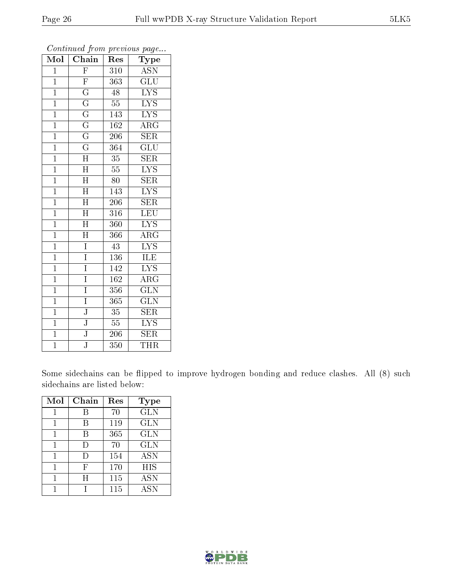| Mol            | . <i>.</i> .<br>$\overline{\text{Chain}}$ | r -<br>Res        | $\mathbf{r}$ $\mathbf{v}$<br>Type |
|----------------|-------------------------------------------|-------------------|-----------------------------------|
| $\overline{1}$ | $\overline{\mathrm{F}}$                   | 310               | <b>ASN</b>                        |
| $\mathbf{1}$   | $\overline{\mathrm{F}}$                   | 363               | GLU                               |
| $\overline{1}$ | $\overline{\mathrm{G}}$                   | 48                | $\overline{\text{LYS}}$           |
| $\mathbf{1}$   | $\overline{\mathrm{G}}$                   | $55\,$            | $\overline{\text{LYS}}$           |
| $\overline{1}$ | $\overline{\mathrm{G}}$                   | $\overline{1}$ 43 | $\overline{\mathrm{LYS}}$         |
| $\mathbf{1}$   | $\overline{\mathrm{G}}$                   | 162               | $\rm{ARG}$                        |
| $\overline{1}$ | $\overline{\mathrm{G}}$                   | 206               | <b>SER</b>                        |
| $\overline{1}$ | $\overline{\mathrm{G}}$                   | 364               | $\overline{{\rm GLU}}$            |
| $\mathbf{1}$   | $\overline{\rm H}$                        | 35                | <b>SER</b>                        |
| $\overline{1}$ | $\overline{\rm H}$                        | $\overline{55}$   | $\overline{\text{LYS}}$           |
| $\overline{1}$ | $\overline{\text{H}}$                     | 80                | <b>SER</b>                        |
| $\overline{1}$ | $\overline{\rm H}$                        | $14\overline{3}$  | $\overline{\text{LYS}}$           |
| $\overline{1}$ | $\overline{\rm H}$                        | 206               | <b>SER</b>                        |
| $\overline{1}$ | $\mathbf H$                               | 316               | LEU                               |
| $\overline{1}$ | $\overline{\rm H}$                        | 360               | $\overline{\text{LYS}}$           |
| $\mathbf{1}$   | $\overline{\text{H}}$                     | 366               | $\overline{\rm{ARG}}$             |
| $\overline{1}$ | Ī                                         | $\overline{43}$   | $\overline{\mathrm{LYS}}$         |
| $\mathbf{1}$   | $\overline{I}$                            | $\overline{1}36$  | ILE                               |
| $\overline{1}$ | $\overline{\mathrm{I}}$                   | 142               | $\overline{\rm LYS}$              |
| $\overline{1}$ | $\overline{\mathrm{I}}$                   | 162               | $\overline{\text{ARG}}$           |
| $\overline{1}$ | $\overline{I}$                            | 356               | $\overline{\text{GLN}}$           |
| $\overline{1}$ | Ī                                         | 365               | $\overline{\text{GLN}}$           |
| $\overline{1}$ | $\overline{\text{J}}$                     | 35                | <b>SER</b>                        |
| $\overline{1}$ | $\overline{\text{J}}$                     | $\overline{55}$   | $\overline{\text{LYS}}$           |
| $\overline{1}$ | $\overline{\mathbf{J}}$                   | 206               | <b>SER</b>                        |
| $\overline{1}$ | $\overline{\text{J}}$                     | $\overline{3}50$  | <b>THR</b>                        |

Some sidechains can be flipped to improve hydrogen bonding and reduce clashes. All (8) such sidechains are listed below:

| Mol | Chain | Res | <b>Type</b> |
|-----|-------|-----|-------------|
|     | B     | 70  | <b>GLN</b>  |
|     | В     | 119 | <b>GLN</b>  |
|     | B     | 365 | <b>GLN</b>  |
| 1   | Ð     | 70  | <b>GLN</b>  |
|     | I)    | 154 | <b>ASN</b>  |
|     | F     | 170 | HIS         |
|     | H     | 115 | <b>ASN</b>  |
|     |       | 115 | <b>ASN</b>  |

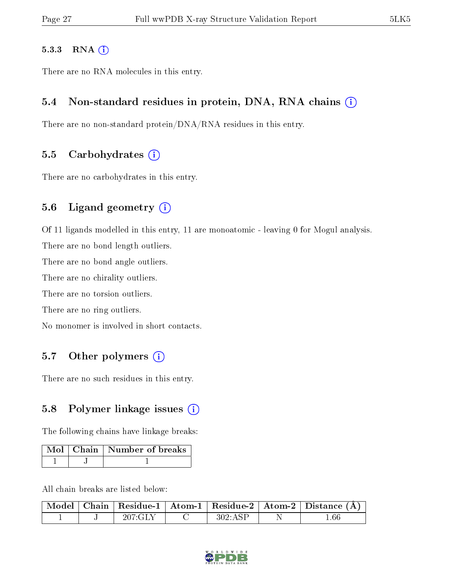#### 5.3.3 RNA (i)

There are no RNA molecules in this entry.

#### 5.4 Non-standard residues in protein, DNA, RNA chains (i)

There are no non-standard protein/DNA/RNA residues in this entry.

#### 5.5 Carbohydrates  $(i)$

There are no carbohydrates in this entry.

#### 5.6 Ligand geometry  $(i)$

Of 11 ligands modelled in this entry, 11 are monoatomic - leaving 0 for Mogul analysis.

There are no bond length outliers.

There are no bond angle outliers.

There are no chirality outliers.

There are no torsion outliers.

There are no ring outliers.

No monomer is involved in short contacts.

#### 5.7 [O](https://www.wwpdb.org/validation/2017/XrayValidationReportHelp#nonstandard_residues_and_ligands)ther polymers  $(i)$

There are no such residues in this entry.

#### 5.8 Polymer linkage issues  $(i)$

The following chains have linkage breaks:

|  | Mol   Chain   Number of breaks |
|--|--------------------------------|
|  |                                |

All chain breaks are listed below:

|  |  |  | $\mid$ Model $\mid$ Chain $\mid$ Residue-1 $\mid$ Atom-1 $\mid$ Residue-2 $\mid$ Atom-2 $\mid$ Distance (Å) |
|--|--|--|-------------------------------------------------------------------------------------------------------------|
|  |  |  |                                                                                                             |

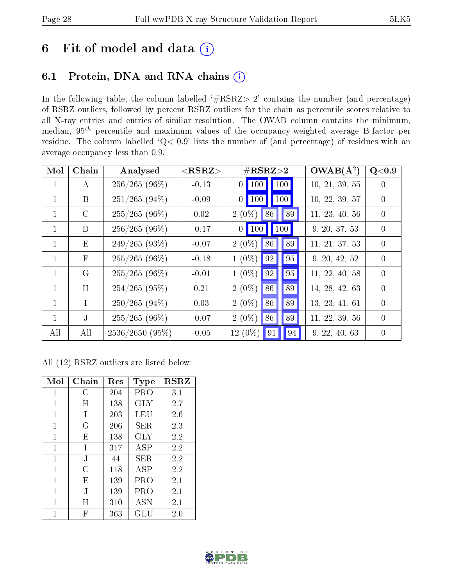### 6 Fit of model and data  $(i)$

#### 6.1 Protein, DNA and RNA chains  $(i)$

In the following table, the column labelled  $#RSRZ> 2'$  contains the number (and percentage) of RSRZ outliers, followed by percent RSRZ outliers for the chain as percentile scores relative to all X-ray entries and entries of similar resolution. The OWAB column contains the minimum, median,  $95<sup>th</sup>$  percentile and maximum values of the occupancy-weighted average B-factor per residue. The column labelled ' $Q< 0.9$ ' lists the number of (and percentage) of residues with an average occupancy less than 0.9.

| Mol          | Chain        | Analysed          | $<$ RSRZ $>$ | $\#\text{RSRZ}\text{>2}$          | $OWAB(A^2)$    | Q<0.9            |
|--------------|--------------|-------------------|--------------|-----------------------------------|----------------|------------------|
| $\mathbf{1}$ | A            | $256/265(96\%)$   | $-0.13$      | 100 <br>$0$ 100                   | 10, 21, 39, 55 | $\Omega$         |
| $\mathbf{1}$ | B            | $251/265(94\%)$   | $-0.09$      | $0$   100 <br>$\vert$ 100 $\vert$ | 10, 22, 39, 57 | $\Omega$         |
| $\mathbf{1}$ | $\rm C$      | $255/265$ (96%)   | 0.02         | $2(0\%)$ 86<br>   89              | 11, 23, 40, 56 | $\theta$         |
|              | D            | $256/265(96\%)$   | $-0.17$      | $0$ 100 100                       | 9, 20, 37, 53  | $\left( \right)$ |
| $\mathbf{1}$ | Ε            | $249/265(93\%)$   | $-0.07$      | $2(0\%)$<br>89<br>86              | 11, 21, 37, 53 | $\Omega$         |
| $\mathbf{1}$ | $\mathbf{F}$ | $255/265(96\%)$   | $-0.18$      | 95<br>$1(0\%)$<br> 92             | 9, 20, 42, 52  | $\Omega$         |
| $\mathbf{1}$ | G            | $255/265(96\%)$   | $-0.01$      | 95<br> 92 <br>$1(0\%)$            | 11, 22, 40, 58 | $\Omega$         |
| 1.           | H            | $254/265(95\%)$   | 0.21         | 89<br>$2(0\%)$<br>86              | 14, 28, 42, 63 | $\Omega$         |
| $\mathbf{1}$ | T            | $250/265(94\%)$   | 0.03         | $2(0\%)$<br>86<br>89              | 13, 23, 41, 61 | $\theta$         |
| $\mathbf{1}$ | J            | $255/265(96\%)$   | $-0.07$      | 89<br>$2(0\%)$<br>86              | 11, 22, 39, 56 | $\Omega$         |
| All          | All          | $2536/2650(95\%)$ | $-0.05$      | $12(0\%)$<br>91<br> 94            | 9, 22, 40, 63  | $\left( \right)$ |

All (12) RSRZ outliers are listed below:

| Mol | Chain        | $\operatorname{Res}$ | <b>Type</b> | $_{\rm RSRZ}$ |
|-----|--------------|----------------------|-------------|---------------|
| 1   | С            | 204                  | PRO         | 3.1           |
| 1   | Η            | 138                  | GLY         | 2.7           |
| 1   | $\mathbf{I}$ | 203                  | LEU         | 2.6           |
| 1   | G            | 206                  | SER.        | 2.3           |
| 1   | Е            | 138                  | GLY         | 2.2           |
| 1   | T            | 317                  | ASP         | 2.2           |
| 1   | J.           | 44                   | SER.        | 2.2           |
| 1   | C            | 118                  | ASP         | 2.2           |
| 1   | E            | 139                  | PRO         | 2.1           |
| 1   | J.           | 139                  | PRO         | 2.1           |
| 1   | Η            | 310                  | <b>ASN</b>  | 2.1           |
| 1   | F            | 363                  | GLU         | 2.0           |